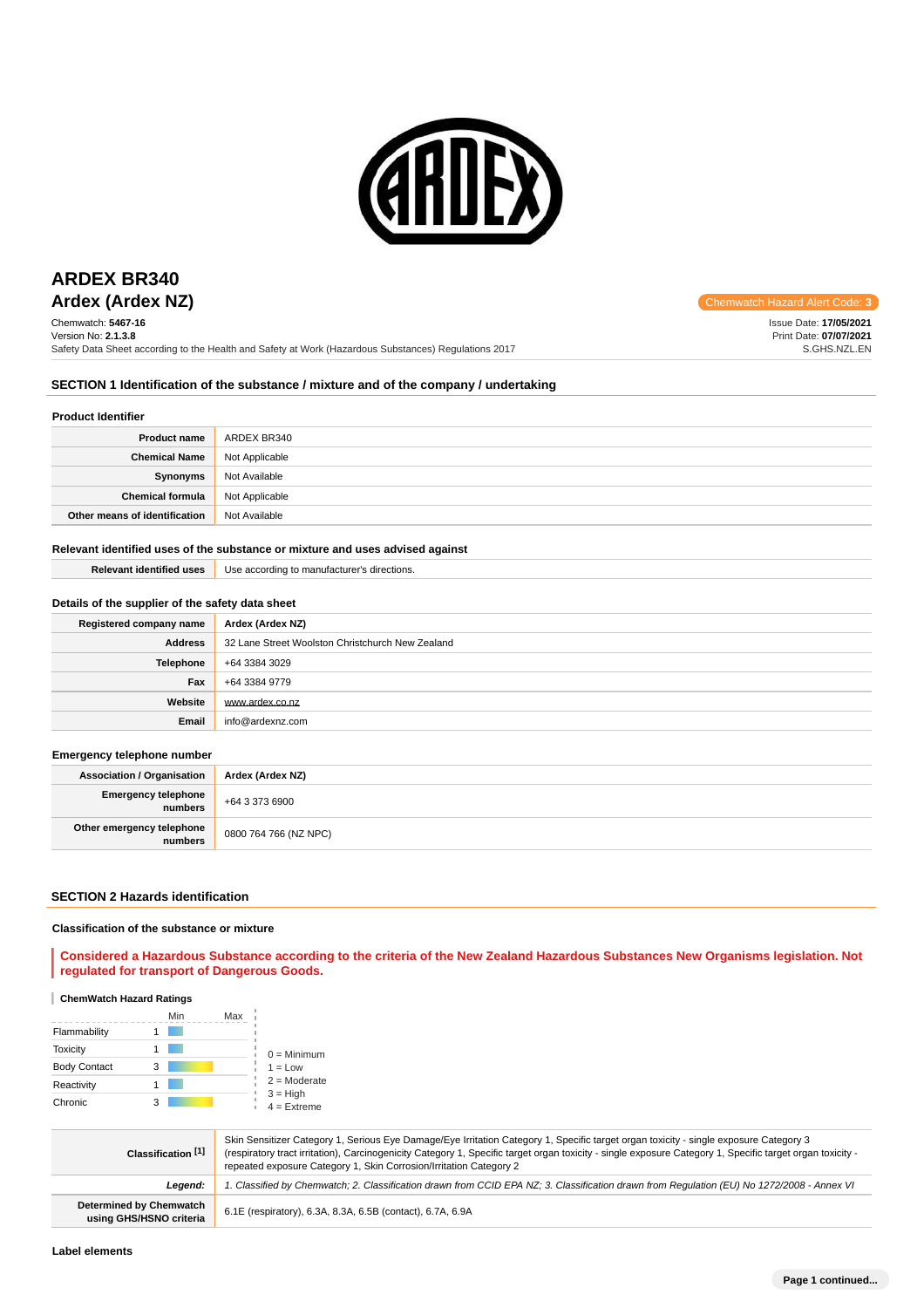

# **ARDEX BR340**

Chemwatch: **5467-16** Version No: **2.1.3.8** Safety Data Sheet according to the Health and Safety at Work (Hazardous Substances) Regulations 2017

**Ardex (Ardex NZ) Chemwatch Hazard Alert Code:** 3

Issue Date: **17/05/2021** Print Date: **07/07/2021** S.GHS.NZL.EN

# **SECTION 1 Identification of the substance / mixture and of the company / undertaking**

# **Product Identifier**

| <b>Product name</b>           | ARDEX BR340    |
|-------------------------------|----------------|
| <b>Chemical Name</b>          | Not Applicable |
| Synonyms                      | Not Available  |
| <b>Chemical formula</b>       | Not Applicable |
| Other means of identification | Not Available  |

### **Relevant identified uses of the substance or mixture and uses advised against**

| <b>Relevant identified uses</b> | Use according to manufacturer's directions. |
|---------------------------------|---------------------------------------------|
|                                 |                                             |

# **Details of the supplier of the safety data sheet**

| Registered company name | Ardex (Ardex NZ)                                 |
|-------------------------|--------------------------------------------------|
| <b>Address</b>          | 32 Lane Street Woolston Christchurch New Zealand |
| <b>Telephone</b>        | +64 3384 3029                                    |
| Fax                     | +64 3384 9779                                    |
| Website                 | www.ardex.co.nz                                  |
| Email                   | info@ardexnz.com                                 |

# **Emergency telephone number**

| <b>Association / Organisation</b>    | Ardex (Ardex NZ)      |  |
|--------------------------------------|-----------------------|--|
| Emergency telephone<br>numbers       | +64 3 373 6900        |  |
| Other emergency telephone<br>numbers | 0800 764 766 (NZ NPC) |  |

#### **SECTION 2 Hazards identification**

### **Classification of the substance or mixture**

**Considered a Hazardous Substance according to the criteria of the New Zealand Hazardous Substances New Organisms legislation. Not regulated for transport of Dangerous Goods.**

### **ChemWatch Hazard Ratings**

|                     |   | Min | Max |                             |
|---------------------|---|-----|-----|-----------------------------|
| Flammability        |   |     |     |                             |
| <b>Toxicity</b>     |   |     |     | $0 =$ Minimum               |
| <b>Body Contact</b> | 3 |     |     | $1 = Low$                   |
| Reactivity          |   |     |     | $2 =$ Moderate              |
| Chronic             | з |     |     | $3 = High$<br>$4 =$ Extreme |

| Classification <sup>[1]</sup>                      | Skin Sensitizer Category 1, Serious Eye Damage/Eye Irritation Category 1, Specific target organ toxicity - single exposure Category 3<br>(respiratory tract irritation), Carcinogenicity Category 1, Specific target organ toxicity - single exposure Category 1, Specific target organ toxicity -<br>repeated exposure Category 1, Skin Corrosion/Irritation Category 2 |  |
|----------------------------------------------------|--------------------------------------------------------------------------------------------------------------------------------------------------------------------------------------------------------------------------------------------------------------------------------------------------------------------------------------------------------------------------|--|
| Leaend:                                            | 1. Classified by Chemwatch; 2. Classification drawn from CCID EPA NZ; 3. Classification drawn from Requlation (EU) No 1272/2008 - Annex VI                                                                                                                                                                                                                               |  |
| Determined by Chemwatch<br>using GHS/HSNO criteria | 6.1E (respiratory), 6.3A, 8.3A, 6.5B (contact), 6.7A, 6.9A                                                                                                                                                                                                                                                                                                               |  |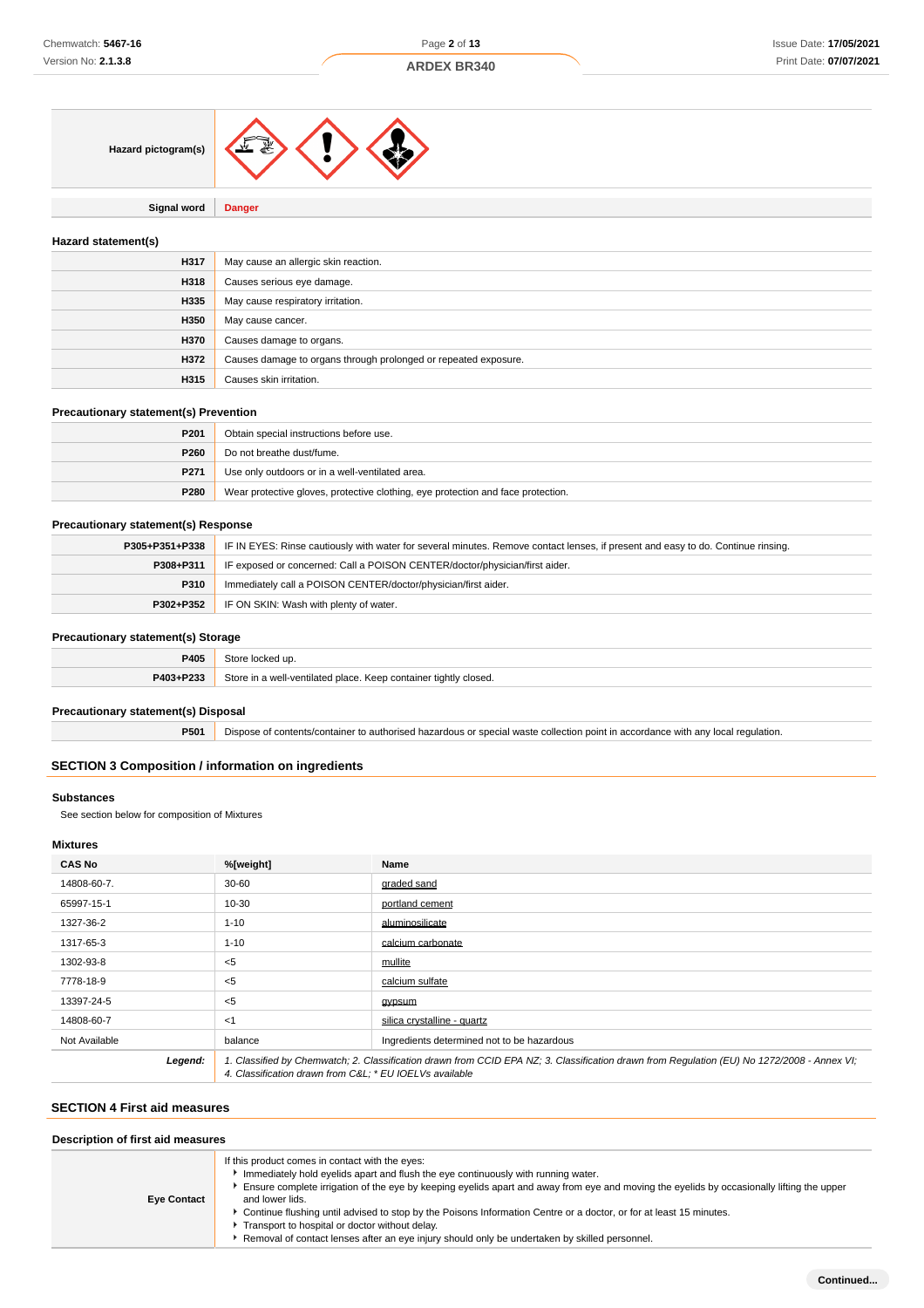

**Signal word Danger**

# **Hazard statement(s)**

| H317 | May cause an allergic skin reaction.                            |  |
|------|-----------------------------------------------------------------|--|
| H318 | Causes serious eye damage.                                      |  |
| H335 | May cause respiratory irritation.                               |  |
| H350 | May cause cancer.                                               |  |
| H370 | Causes damage to organs.                                        |  |
| H372 | Causes damage to organs through prolonged or repeated exposure. |  |
| H315 | Causes skin irritation.                                         |  |

# **Precautionary statement(s) Prevention**

| P <sub>201</sub> | Obtain special instructions before use.                                          |
|------------------|----------------------------------------------------------------------------------|
| P <sub>260</sub> | Do not breathe dust/fume.                                                        |
| P271             | Use only outdoors or in a well-ventilated area.                                  |
| P280             | Wear protective gloves, protective clothing, eye protection and face protection. |

# **Precautionary statement(s) Response**

| P305+P351+P338 | IF IN EYES: Rinse cautiously with water for several minutes. Remove contact lenses, if present and easy to do. Continue rinsing. |  |
|----------------|----------------------------------------------------------------------------------------------------------------------------------|--|
| P308+P311      | IF exposed or concerned: Call a POISON CENTER/doctor/physician/first aider.                                                      |  |
| P310           | Immediately call a POISON CENTER/doctor/physician/first aider.                                                                   |  |
| P302+P352      | IF ON SKIN: Wash with plenty of water.                                                                                           |  |

# **Precautionary statement(s) Storage**

| _______   |                                                                  |  |
|-----------|------------------------------------------------------------------|--|
| P405      | 2+ar<br>าcked นp.                                                |  |
| P403+P233 | Store in a well-ventilated place. Keep container tightly closed. |  |

# **Precautionary statement(s) Disposal**

**P501** Dispose of contents/container to authorised hazardous or special waste collection point in accordance with any local regulation.

# **SECTION 3 Composition / information on ingredients**

# **Substances**

See section below for composition of Mixtures

# **Mixtures**

| <b>CAS No</b> | %[weight]                                                                                                                                                                                              | Name                                       |
|---------------|--------------------------------------------------------------------------------------------------------------------------------------------------------------------------------------------------------|--------------------------------------------|
| 14808-60-7.   | $30 - 60$                                                                                                                                                                                              | graded sand                                |
| 65997-15-1    | 10-30                                                                                                                                                                                                  | portland cement                            |
| 1327-36-2     | $1 - 10$                                                                                                                                                                                               | aluminosilicate                            |
| 1317-65-3     | $1 - 10$                                                                                                                                                                                               | calcium carbonate                          |
| 1302-93-8     | $5$                                                                                                                                                                                                    | mullite                                    |
| 7778-18-9     | $5$                                                                                                                                                                                                    | calcium sulfate                            |
| 13397-24-5    | $5$                                                                                                                                                                                                    | gypsum                                     |
| 14808-60-7    | $<$ 1                                                                                                                                                                                                  | silica crystalline - quartz                |
| Not Available | balance                                                                                                                                                                                                | Ingredients determined not to be hazardous |
| Legend:       | 1. Classified by Chemwatch; 2. Classification drawn from CCID EPA NZ; 3. Classification drawn from Requlation (EU) No 1272/2008 - Annex VI;<br>4. Classification drawn from C&L * EU IOEL Vs available |                                            |

### **SECTION 4 First aid measures**

| Description of first aid measures |                                                                                                                                                                                                                                                                                                                                                                                                                                                                                                                                                                                 |  |  |
|-----------------------------------|---------------------------------------------------------------------------------------------------------------------------------------------------------------------------------------------------------------------------------------------------------------------------------------------------------------------------------------------------------------------------------------------------------------------------------------------------------------------------------------------------------------------------------------------------------------------------------|--|--|
| <b>Eye Contact</b>                | If this product comes in contact with the eyes:<br>Immediately hold eyelids apart and flush the eye continuously with running water.<br>Ensure complete irrigation of the eye by keeping eyelids apart and away from eye and moving the eyelids by occasionally lifting the upper<br>and lower lids.<br>▶ Continue flushing until advised to stop by the Poisons Information Centre or a doctor, or for at least 15 minutes.<br>Transport to hospital or doctor without delay.<br>Removal of contact lenses after an eye injury should only be undertaken by skilled personnel. |  |  |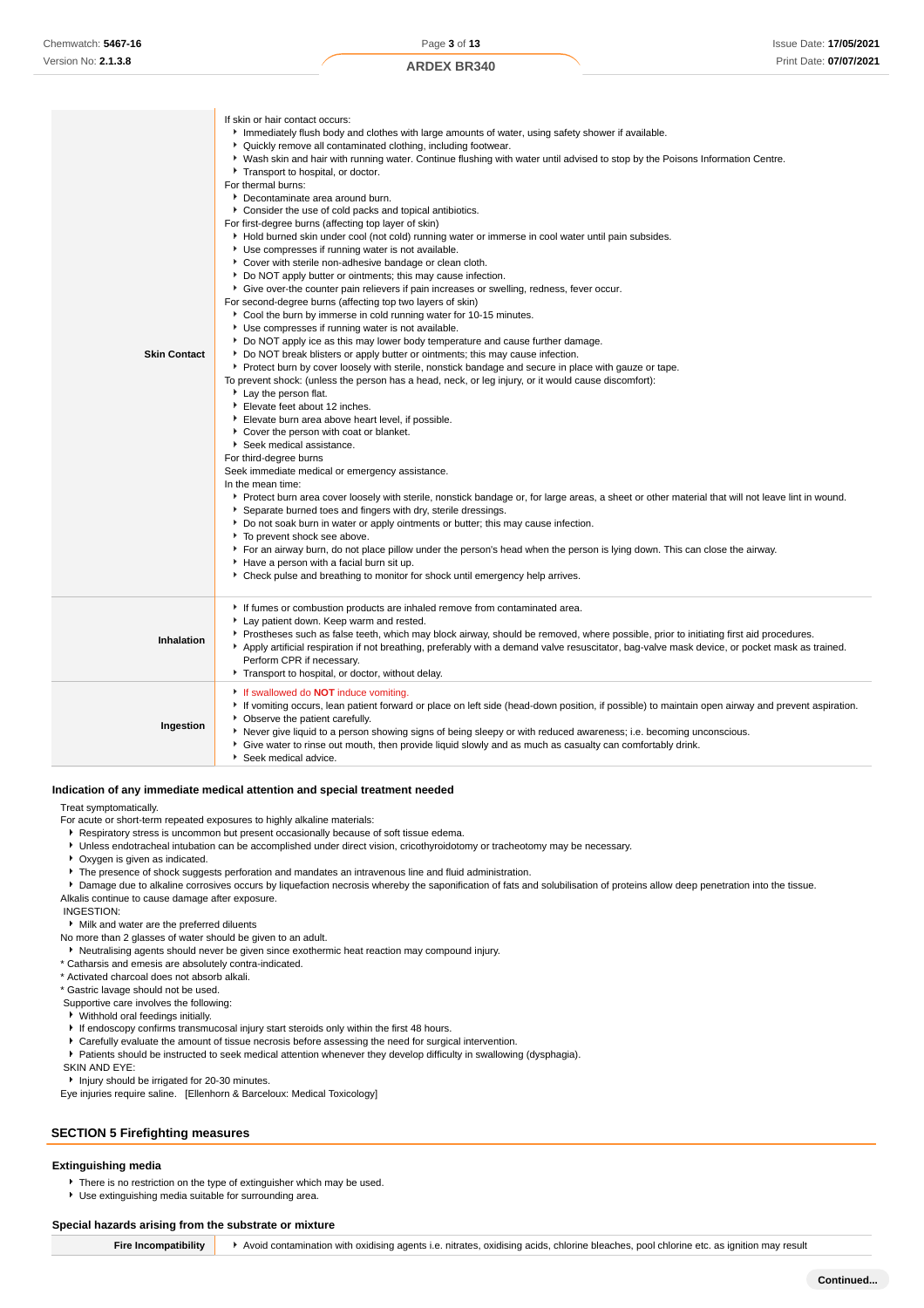| <b>ARDEX BR340</b> |  |
|--------------------|--|
|--------------------|--|

| <b>Skin Contact</b> | If skin or hair contact occurs:<br>Immediately flush body and clothes with large amounts of water, using safety shower if available.<br>• Quickly remove all contaminated clothing, including footwear.<br>▶ Wash skin and hair with running water. Continue flushing with water until advised to stop by the Poisons Information Centre.<br>Transport to hospital, or doctor.<br>For thermal burns:<br>Decontaminate area around burn.<br>• Consider the use of cold packs and topical antibiotics.<br>For first-degree burns (affecting top layer of skin)<br>Hold burned skin under cool (not cold) running water or immerse in cool water until pain subsides.<br>Use compresses if running water is not available.<br>Cover with sterile non-adhesive bandage or clean cloth.<br>• Do NOT apply butter or ointments; this may cause infection.<br>• Give over-the counter pain relievers if pain increases or swelling, redness, fever occur.<br>For second-degree burns (affecting top two layers of skin)<br>Cool the burn by immerse in cold running water for 10-15 minutes.<br>▶ Use compresses if running water is not available.<br>▶ Do NOT apply ice as this may lower body temperature and cause further damage.<br>▶ Do NOT break blisters or apply butter or ointments; this may cause infection.<br>▶ Protect burn by cover loosely with sterile, nonstick bandage and secure in place with gauze or tape.<br>To prevent shock: (unless the person has a head, neck, or leg injury, or it would cause discomfort):<br>Lay the person flat.<br>Elevate feet about 12 inches.<br>Elevate burn area above heart level, if possible.<br>Cover the person with coat or blanket.<br>Seek medical assistance.<br>For third-degree burns<br>Seek immediate medical or emergency assistance.<br>In the mean time:<br>▶ Protect burn area cover loosely with sterile, nonstick bandage or, for large areas, a sheet or other material that will not leave lint in wound.<br>Separate burned toes and fingers with dry, sterile dressings.<br>▶ Do not soak burn in water or apply ointments or butter; this may cause infection.<br>To prevent shock see above.<br>For an airway burn, do not place pillow under the person's head when the person is lying down. This can close the airway.<br>Have a person with a facial burn sit up.<br>▶ Check pulse and breathing to monitor for shock until emergency help arrives. |
|---------------------|------------------------------------------------------------------------------------------------------------------------------------------------------------------------------------------------------------------------------------------------------------------------------------------------------------------------------------------------------------------------------------------------------------------------------------------------------------------------------------------------------------------------------------------------------------------------------------------------------------------------------------------------------------------------------------------------------------------------------------------------------------------------------------------------------------------------------------------------------------------------------------------------------------------------------------------------------------------------------------------------------------------------------------------------------------------------------------------------------------------------------------------------------------------------------------------------------------------------------------------------------------------------------------------------------------------------------------------------------------------------------------------------------------------------------------------------------------------------------------------------------------------------------------------------------------------------------------------------------------------------------------------------------------------------------------------------------------------------------------------------------------------------------------------------------------------------------------------------------------------------------------------------------------------------------------------------------------------------------------------------------------------------------------------------------------------------------------------------------------------------------------------------------------------------------------------------------------------------------------------------------------------------------------------------------------------------------------------------------------------------------------------------------------------------------------|
|                     | If fumes or combustion products are inhaled remove from contaminated area.                                                                                                                                                                                                                                                                                                                                                                                                                                                                                                                                                                                                                                                                                                                                                                                                                                                                                                                                                                                                                                                                                                                                                                                                                                                                                                                                                                                                                                                                                                                                                                                                                                                                                                                                                                                                                                                                                                                                                                                                                                                                                                                                                                                                                                                                                                                                                         |
| Inhalation          | Lay patient down. Keep warm and rested.<br>▶ Prostheses such as false teeth, which may block airway, should be removed, where possible, prior to initiating first aid procedures.<br>Apply artificial respiration if not breathing, preferably with a demand valve resuscitator, bag-valve mask device, or pocket mask as trained.<br>Perform CPR if necessary.<br>Transport to hospital, or doctor, without delay.                                                                                                                                                                                                                                                                                                                                                                                                                                                                                                                                                                                                                                                                                                                                                                                                                                                                                                                                                                                                                                                                                                                                                                                                                                                                                                                                                                                                                                                                                                                                                                                                                                                                                                                                                                                                                                                                                                                                                                                                                |
| Ingestion           | If swallowed do NOT induce vomiting.<br>If vomiting occurs, lean patient forward or place on left side (head-down position, if possible) to maintain open airway and prevent aspiration.<br>• Observe the patient carefully.<br>▶ Never give liquid to a person showing signs of being sleepy or with reduced awareness; i.e. becoming unconscious.<br>• Give water to rinse out mouth, then provide liquid slowly and as much as casualty can comfortably drink.<br>Seek medical advice.                                                                                                                                                                                                                                                                                                                                                                                                                                                                                                                                                                                                                                                                                                                                                                                                                                                                                                                                                                                                                                                                                                                                                                                                                                                                                                                                                                                                                                                                                                                                                                                                                                                                                                                                                                                                                                                                                                                                          |

# **Indication of any immediate medical attention and special treatment needed**

Treat symptomatically.

For acute or short-term repeated exposures to highly alkaline materials:

- **Respiratory stress is uncommon but present occasionally because of soft tissue edema.**
- Unless endotracheal intubation can be accomplished under direct vision, cricothyroidotomy or tracheotomy may be necessary.
- Oxygen is given as indicated.
- The presence of shock suggests perforation and mandates an intravenous line and fluid administration.
- **Damage due to alkaline corrosives occurs by liquefaction necrosis whereby the saponification of fats and solubilisation of proteins allow deep penetration into the tissue.**
- Alkalis continue to cause damage after exposure.

INGESTION:

- Milk and water are the preferred diluents
- No more than 2 glasses of water should be given to an adult.
- Neutralising agents should never be given since exothermic heat reaction may compound injury.
- \* Catharsis and emesis are absolutely contra-indicated.
- \* Activated charcoal does not absorb alkali.

\* Gastric lavage should not be used.

- Supportive care involves the following:
- Withhold oral feedings initially.
- If endoscopy confirms transmucosal injury start steroids only within the first 48 hours.
- Carefully evaluate the amount of tissue necrosis before assessing the need for surgical intervention.
- Patients should be instructed to seek medical attention whenever they develop difficulty in swallowing (dysphagia).

SKIN AND EYE:

**Injury should be irrigated for 20-30 minutes.** 

Eye injuries require saline. [Ellenhorn & Barceloux: Medical Toxicology]

### **SECTION 5 Firefighting measures**

#### **Extinguishing media**

- There is no restriction on the type of extinguisher which may be used.
- Use extinguishing media suitable for surrounding area.

#### **Special hazards arising from the substrate or mixture**

**Fire Incompatibility** > Avoid contamination with oxidising agents i.e. nitrates, oxidising acids, chlorine bleaches, pool chlorine etc. as ignition may result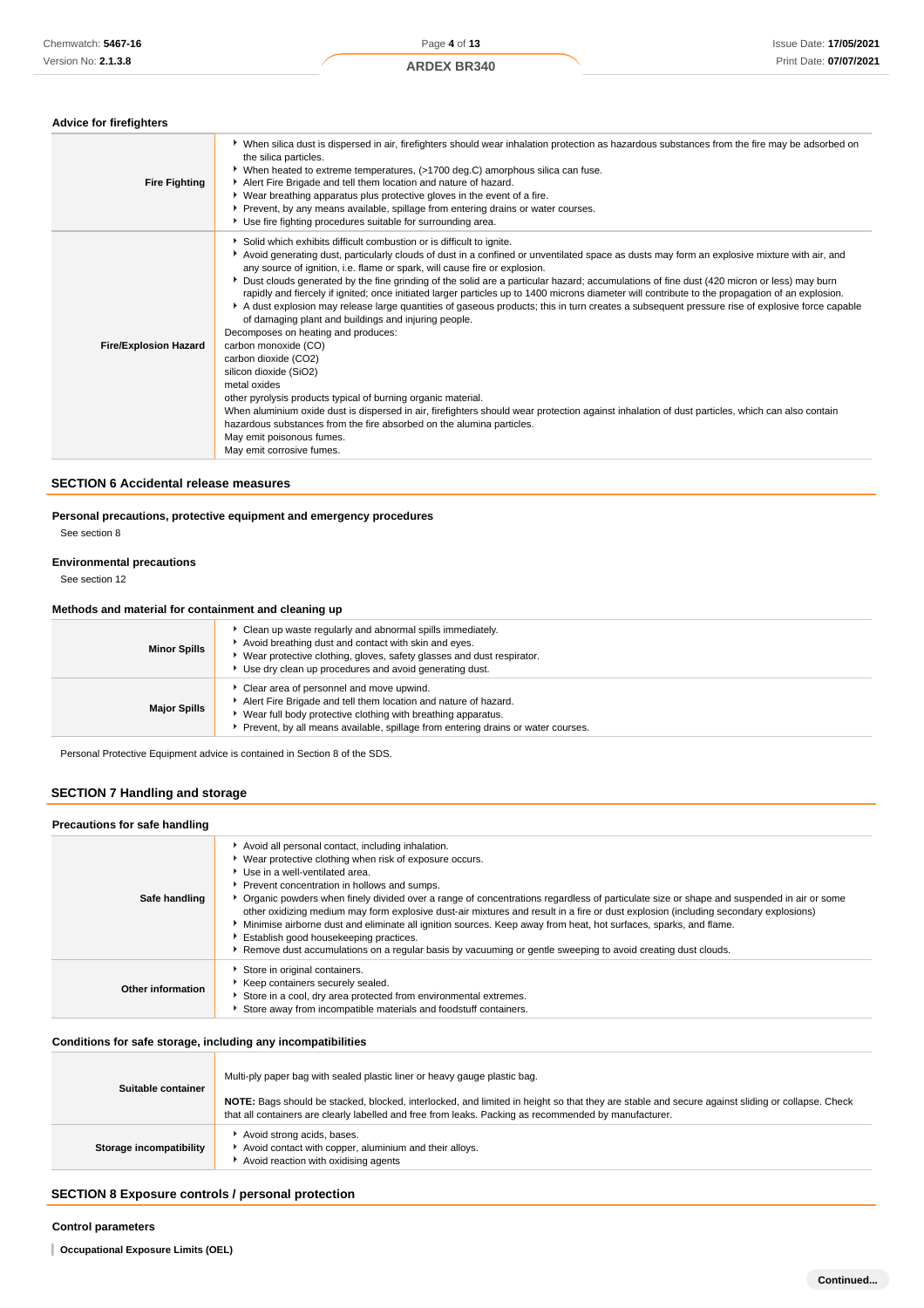#### **Advice for firefighters**

| <b>Fire Fighting</b>         | ▶ When silica dust is dispersed in air, firefighters should wear inhalation protection as hazardous substances from the fire may be adsorbed on<br>the silica particles.<br>▶ When heated to extreme temperatures, (>1700 deg.C) amorphous silica can fuse.<br>Alert Fire Brigade and tell them location and nature of hazard.<br>▶ Wear breathing apparatus plus protective gloves in the event of a fire.<br>Prevent, by any means available, spillage from entering drains or water courses.<br>Use fire fighting procedures suitable for surrounding area.                                                                                                                                                                                                                                                                                                                                                                                                                                                                                                                                                                                                                                                                                                                                        |
|------------------------------|-------------------------------------------------------------------------------------------------------------------------------------------------------------------------------------------------------------------------------------------------------------------------------------------------------------------------------------------------------------------------------------------------------------------------------------------------------------------------------------------------------------------------------------------------------------------------------------------------------------------------------------------------------------------------------------------------------------------------------------------------------------------------------------------------------------------------------------------------------------------------------------------------------------------------------------------------------------------------------------------------------------------------------------------------------------------------------------------------------------------------------------------------------------------------------------------------------------------------------------------------------------------------------------------------------|
| <b>Fire/Explosion Hazard</b> | Solid which exhibits difficult combustion or is difficult to ignite.<br>Avoid generating dust, particularly clouds of dust in a confined or unventilated space as dusts may form an explosive mixture with air, and<br>any source of ignition, i.e. flame or spark, will cause fire or explosion.<br>> Dust clouds generated by the fine grinding of the solid are a particular hazard; accumulations of fine dust (420 micron or less) may burn<br>rapidly and fiercely if ignited; once initiated larger particles up to 1400 microns diameter will contribute to the propagation of an explosion.<br>A dust explosion may release large quantities of gaseous products; this in turn creates a subsequent pressure rise of explosive force capable<br>of damaging plant and buildings and injuring people.<br>Decomposes on heating and produces:<br>carbon monoxide (CO)<br>carbon dioxide (CO2)<br>silicon dioxide (SiO2)<br>metal oxides<br>other pyrolysis products typical of burning organic material.<br>When aluminium oxide dust is dispersed in air, firefighters should wear protection against inhalation of dust particles, which can also contain<br>hazardous substances from the fire absorbed on the alumina particles.<br>May emit poisonous fumes.<br>May emit corrosive fumes. |

# **SECTION 6 Accidental release measures**

**Personal precautions, protective equipment and emergency procedures**

See section 8

#### **Environmental precautions**

See section 12

#### **Methods and material for containment and cleaning up**

| <b>Minor Spills</b> | Clean up waste regularly and abnormal spills immediately.<br>Avoid breathing dust and contact with skin and eyes.<br>Wear protective clothing, gloves, safety glasses and dust respirator.<br>Use dry clean up procedures and avoid generating dust.            |
|---------------------|-----------------------------------------------------------------------------------------------------------------------------------------------------------------------------------------------------------------------------------------------------------------|
| <b>Major Spills</b> | Clear area of personnel and move upwind.<br>Alert Fire Brigade and tell them location and nature of hazard.<br>Wear full body protective clothing with breathing apparatus.<br>Prevent, by all means available, spillage from entering drains or water courses. |

Personal Protective Equipment advice is contained in Section 8 of the SDS.

# **SECTION 7 Handling and storage**

#### **Precautions for safe handling** Avoid all personal contact, including inhalation. ¥. Wear protective clothing when risk of exposure occurs. Use in a well-ventilated area. **Prevent concentration in hollows and sumps. Safe handling** Organic powders when finely divided over a range of concentrations regardless of particulate size or shape and suspended in air or some other oxidizing medium may form explosive dust-air mixtures and result in a fire or dust explosion (including secondary explosions) Minimise airborne dust and eliminate all ignition sources. Keep away from heat, hot surfaces, sparks, and flame. Establish good housekeeping practices. Remove dust accumulations on a regular basis by vacuuming or gentle sweeping to avoid creating dust clouds. Store in original containers.  $\blacktriangleright$  Keep containers securely sealed. **Other information** Store in a cool, dry area protected from environmental extremes. Store away from incompatible materials and foodstuff containers.

# **Conditions for safe storage, including any incompatibilities**

| Suitable container      | Multi-ply paper bag with sealed plastic liner or heavy gauge plastic bag.<br>NOTE: Bags should be stacked, blocked, interlocked, and limited in height so that they are stable and secure against sliding or collapse. Check<br>that all containers are clearly labelled and free from leaks. Packing as recommended by manufacturer. |
|-------------------------|---------------------------------------------------------------------------------------------------------------------------------------------------------------------------------------------------------------------------------------------------------------------------------------------------------------------------------------|
| Storage incompatibility | Avoid strong acids, bases.<br>Avoid contact with copper, aluminium and their alloys.<br>Avoid reaction with oxidising agents                                                                                                                                                                                                          |

# **SECTION 8 Exposure controls / personal protection**

#### **Control parameters**

**Occupational Exposure Limits (OEL)**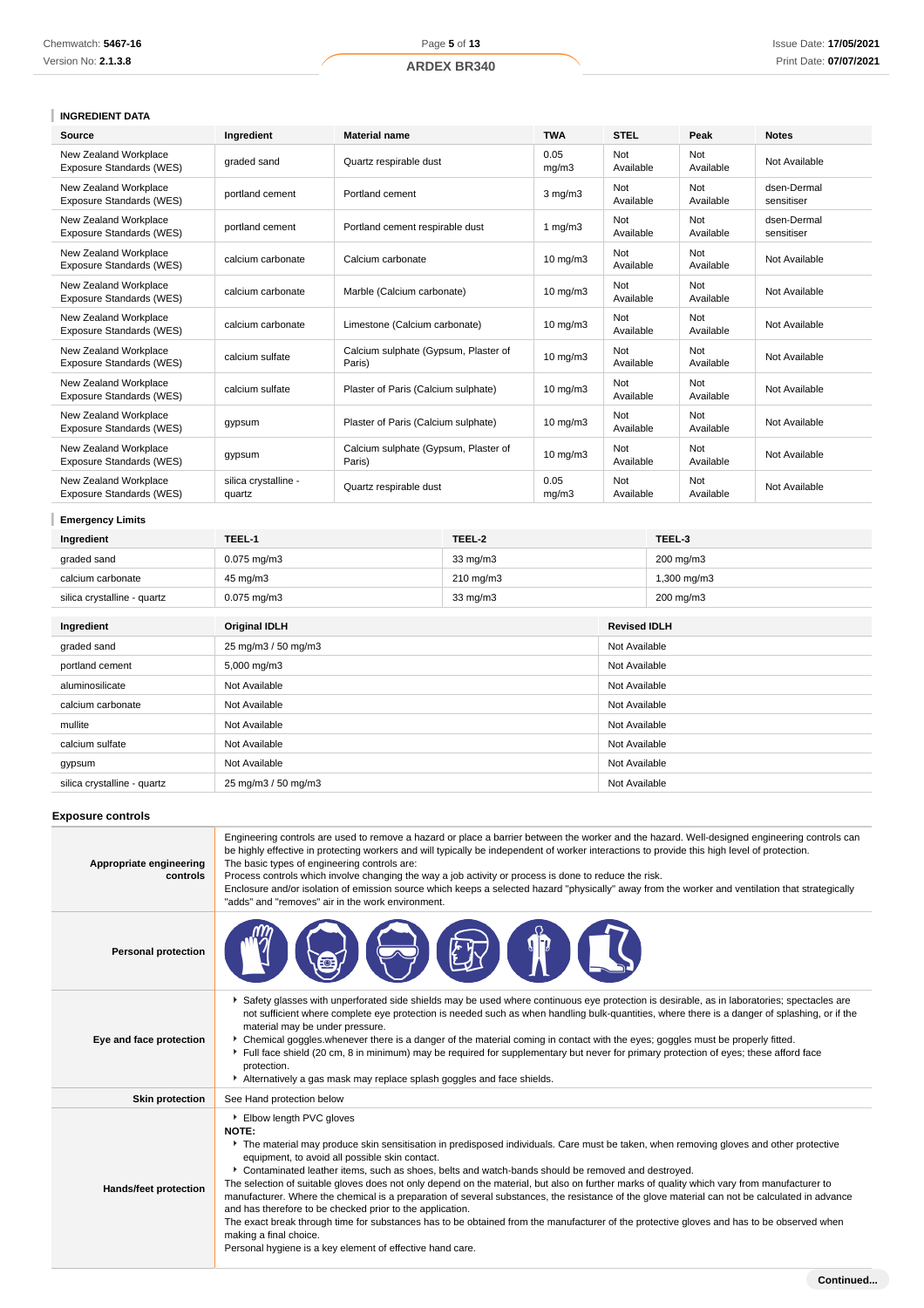# **INGREDIENT DATA**

| Source                                            | Ingredient                     | <b>Material name</b>                           | <b>TWA</b>        | <b>STEL</b>      | Peak             | <b>Notes</b>              |
|---------------------------------------------------|--------------------------------|------------------------------------------------|-------------------|------------------|------------------|---------------------------|
| New Zealand Workplace<br>Exposure Standards (WES) | graded sand                    | Quartz respirable dust                         | 0.05<br>mq/m3     | Not<br>Available | Not<br>Available | Not Available             |
| New Zealand Workplace<br>Exposure Standards (WES) | portland cement                | Portland cement                                | $3$ mg/m $3$      | Not<br>Available | Not<br>Available | dsen-Dermal<br>sensitiser |
| New Zealand Workplace<br>Exposure Standards (WES) | portland cement                | Portland cement respirable dust                | 1 $mg/m3$         | Not<br>Available | Not<br>Available | dsen-Dermal<br>sensitiser |
| New Zealand Workplace<br>Exposure Standards (WES) | calcium carbonate              | Calcium carbonate                              | $10 \text{ mg/m}$ | Not<br>Available | Not<br>Available | Not Available             |
| New Zealand Workplace<br>Exposure Standards (WES) | calcium carbonate              | Marble (Calcium carbonate)                     | $10 \text{ mg/m}$ | Not<br>Available | Not<br>Available | Not Available             |
| New Zealand Workplace<br>Exposure Standards (WES) | calcium carbonate              | Limestone (Calcium carbonate)                  | $10 \text{ mg/m}$ | Not<br>Available | Not<br>Available | Not Available             |
| New Zealand Workplace<br>Exposure Standards (WES) | calcium sulfate                | Calcium sulphate (Gypsum, Plaster of<br>Paris) | $10 \text{ mg/m}$ | Not<br>Available | Not<br>Available | Not Available             |
| New Zealand Workplace<br>Exposure Standards (WES) | calcium sulfate                | Plaster of Paris (Calcium sulphate)            | $10 \text{ mg/m}$ | Not<br>Available | Not<br>Available | Not Available             |
| New Zealand Workplace<br>Exposure Standards (WES) | gypsum                         | Plaster of Paris (Calcium sulphate)            | $10$ mg/m $3$     | Not<br>Available | Not<br>Available | Not Available             |
| New Zealand Workplace<br>Exposure Standards (WES) | gypsum                         | Calcium sulphate (Gypsum, Plaster of<br>Paris) | $10 \text{ mg/m}$ | Not<br>Available | Not<br>Available | Not Available             |
| New Zealand Workplace<br>Exposure Standards (WES) | silica crystalline -<br>quartz | Quartz respirable dust                         | 0.05<br>mq/m3     | Not<br>Available | Not<br>Available | Not Available             |

# **Emergency Limits**

| Ingredient                  | TEEL-1               | TEEL-2    |               | TEEL-3              |  |
|-----------------------------|----------------------|-----------|---------------|---------------------|--|
| graded sand                 | $0.075$ mg/m $3$     | 33 mg/m3  |               | 200 mg/m3           |  |
| calcium carbonate           | 45 mg/m3             | 210 mg/m3 |               | 1,300 mg/m3         |  |
| silica crystalline - quartz | $0.075$ mg/m $3$     | 33 mg/m3  |               | 200 mg/m3           |  |
|                             |                      |           |               |                     |  |
| Ingredient                  | <b>Original IDLH</b> |           |               | <b>Revised IDLH</b> |  |
| graded sand                 | 25 mg/m3 / 50 mg/m3  |           |               | Not Available       |  |
| portland cement             | 5,000 mg/m3          |           |               | Not Available       |  |
| aluminosilicate             | Not Available        |           |               | Not Available       |  |
| calcium carbonate           | Not Available        |           |               | Not Available       |  |
| mullite                     | Not Available        |           |               | Not Available       |  |
| calcium sulfate             | Not Available        |           | Not Available |                     |  |
| gypsum                      | Not Available        |           | Not Available |                     |  |
| silica crystalline - quartz | 25 mg/m3 / 50 mg/m3  |           | Not Available |                     |  |

# **Exposure controls**

| Appropriate engineering<br>controls | Engineering controls are used to remove a hazard or place a barrier between the worker and the hazard. Well-designed engineering controls can<br>be highly effective in protecting workers and will typically be independent of worker interactions to provide this high level of protection.<br>The basic types of engineering controls are:<br>Process controls which involve changing the way a job activity or process is done to reduce the risk.<br>Enclosure and/or isolation of emission source which keeps a selected hazard "physically" away from the worker and ventilation that strategically<br>"adds" and "removes" air in the work environment.                                                                                                                                                                                                                                                                           |
|-------------------------------------|-------------------------------------------------------------------------------------------------------------------------------------------------------------------------------------------------------------------------------------------------------------------------------------------------------------------------------------------------------------------------------------------------------------------------------------------------------------------------------------------------------------------------------------------------------------------------------------------------------------------------------------------------------------------------------------------------------------------------------------------------------------------------------------------------------------------------------------------------------------------------------------------------------------------------------------------|
| <b>Personal protection</b>          |                                                                                                                                                                                                                                                                                                                                                                                                                                                                                                                                                                                                                                                                                                                                                                                                                                                                                                                                           |
| Eye and face protection             | Safety glasses with unperforated side shields may be used where continuous eye protection is desirable, as in laboratories; spectacles are<br>not sufficient where complete eye protection is needed such as when handling bulk-quantities, where there is a danger of splashing, or if the<br>material may be under pressure.<br>• Chemical goggles whenever there is a danger of the material coming in contact with the eyes; goggles must be properly fitted.<br>Full face shield (20 cm, 8 in minimum) may be required for supplementary but never for primary protection of eyes; these afford face<br>protection.<br>Alternatively a gas mask may replace splash goggles and face shields.                                                                                                                                                                                                                                         |
| <b>Skin protection</b>              | See Hand protection below                                                                                                                                                                                                                                                                                                                                                                                                                                                                                                                                                                                                                                                                                                                                                                                                                                                                                                                 |
| Hands/feet protection               | Elbow length PVC gloves<br><b>NOTE:</b><br>The material may produce skin sensitisation in predisposed individuals. Care must be taken, when removing gloves and other protective<br>equipment, to avoid all possible skin contact.<br>Contaminated leather items, such as shoes, belts and watch-bands should be removed and destroyed.<br>The selection of suitable gloves does not only depend on the material, but also on further marks of quality which vary from manufacturer to<br>manufacturer. Where the chemical is a preparation of several substances, the resistance of the glove material can not be calculated in advance<br>and has therefore to be checked prior to the application.<br>The exact break through time for substances has to be obtained from the manufacturer of the protective gloves and has to be observed when<br>making a final choice.<br>Personal hygiene is a key element of effective hand care. |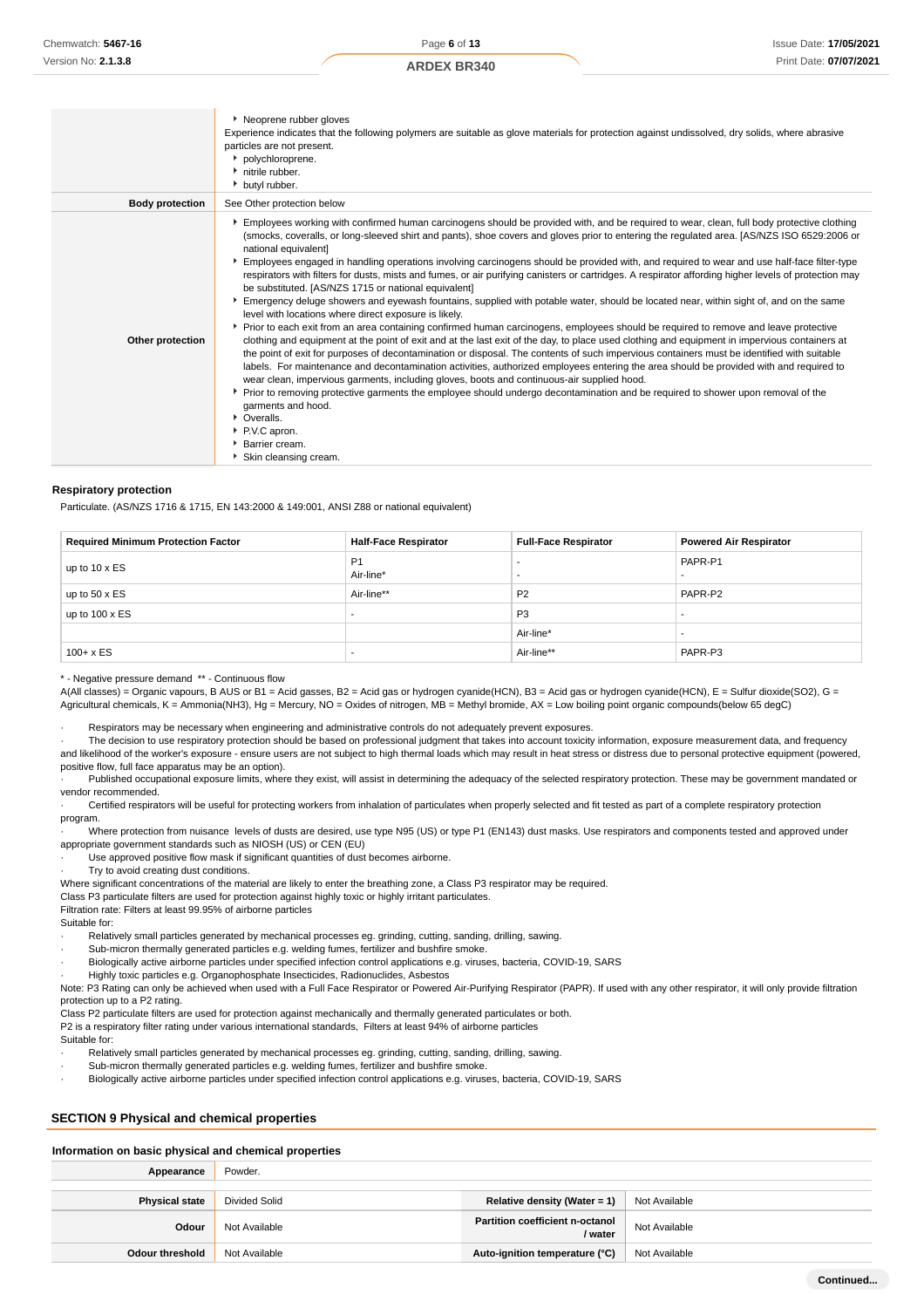|                        | Neoprene rubber gloves<br>Experience indicates that the following polymers are suitable as glove materials for protection against undissolved, dry solids, where abrasive<br>particles are not present.<br>• polychloroprene.<br>• nitrile rubber.<br>butyl rubber.                                                                                                                                                                                                                                                                                                                                                                                                                                                                                                                                                                                                                                                                                                                                                                                                                                                                                                                                                                                                                                                                                                                                                                                                                                                                                                                                                                                                                                                                                                                    |
|------------------------|----------------------------------------------------------------------------------------------------------------------------------------------------------------------------------------------------------------------------------------------------------------------------------------------------------------------------------------------------------------------------------------------------------------------------------------------------------------------------------------------------------------------------------------------------------------------------------------------------------------------------------------------------------------------------------------------------------------------------------------------------------------------------------------------------------------------------------------------------------------------------------------------------------------------------------------------------------------------------------------------------------------------------------------------------------------------------------------------------------------------------------------------------------------------------------------------------------------------------------------------------------------------------------------------------------------------------------------------------------------------------------------------------------------------------------------------------------------------------------------------------------------------------------------------------------------------------------------------------------------------------------------------------------------------------------------------------------------------------------------------------------------------------------------|
| <b>Body protection</b> | See Other protection below                                                                                                                                                                                                                                                                                                                                                                                                                                                                                                                                                                                                                                                                                                                                                                                                                                                                                                                                                                                                                                                                                                                                                                                                                                                                                                                                                                                                                                                                                                                                                                                                                                                                                                                                                             |
| Other protection       | Employees working with confirmed human carcinogens should be provided with, and be required to wear, clean, full body protective clothing<br>(smocks, coveralls, or long-sleeved shirt and pants), shoe covers and gloves prior to entering the regulated area. [AS/NZS ISO 6529:2006 or<br>national equivalent]<br>Employees engaged in handling operations involving carcinogens should be provided with, and required to wear and use half-face filter-type<br>respirators with filters for dusts, mists and fumes, or air purifying canisters or cartridges. A respirator affording higher levels of protection may<br>be substituted. [AS/NZS 1715 or national equivalent]<br>Emergency deluge showers and eyewash fountains, supplied with potable water, should be located near, within sight of, and on the same<br>level with locations where direct exposure is likely.<br>▶ Prior to each exit from an area containing confirmed human carcinogens, employees should be required to remove and leave protective<br>clothing and equipment at the point of exit and at the last exit of the day, to place used clothing and equipment in impervious containers at<br>the point of exit for purposes of decontamination or disposal. The contents of such impervious containers must be identified with suitable<br>labels. For maintenance and decontamination activities, authorized employees entering the area should be provided with and required to<br>wear clean, impervious garments, including gloves, boots and continuous-air supplied hood.<br>▶ Prior to removing protective garments the employee should undergo decontamination and be required to shower upon removal of the<br>garments and hood.<br>• Overalls.<br>P.V.C apron.<br><b>L. Desire corren</b> |

- Barrier cream.
- Skin cleansing cream.

#### **Respiratory protection**

Particulate. (AS/NZS 1716 & 1715, EN 143:2000 & 149:001, ANSI Z88 or national equivalent)

| <b>Required Minimum Protection Factor</b> | <b>Half-Face Respirator</b> | <b>Full-Face Respirator</b> | <b>Powered Air Respirator</b> |
|-------------------------------------------|-----------------------------|-----------------------------|-------------------------------|
| up to $10 \times ES$                      | P <sub>1</sub><br>Air-line* |                             | PAPR-P1                       |
| up to $50 \times ES$                      | Air-line**                  | P <sub>2</sub>              | PAPR-P2                       |
| up to $100 \times ES$                     | -                           | P <sub>3</sub>              |                               |
|                                           |                             | Air-line*                   | -                             |
| $100 + x ES$                              | -                           | Air-line**                  | PAPR-P3                       |

\* - Negative pressure demand \*\* - Continuous flow

A(All classes) = Organic vapours, B AUS or B1 = Acid gasses, B2 = Acid gas or hydrogen cyanide(HCN), B3 = Acid gas or hydrogen cyanide(HCN), E = Sulfur dioxide(SO2), G = Agricultural chemicals, K = Ammonia(NH3), Hg = Mercury, NO = Oxides of nitrogen, MB = Methyl bromide, AX = Low boiling point organic compounds(below 65 degC)

Respirators may be necessary when engineering and administrative controls do not adequately prevent exposures.

· The decision to use respiratory protection should be based on professional judgment that takes into account toxicity information, exposure measurement data, and frequency and likelihood of the worker's exposure - ensure users are not subject to high thermal loads which may result in heat stress or distress due to personal protective equipment (powered, positive flow, full face apparatus may be an option).

Published occupational exposure limits, where they exist, will assist in determining the adequacy of the selected respiratory protection. These may be government mandated or vendor recommended.

· Certified respirators will be useful for protecting workers from inhalation of particulates when properly selected and fit tested as part of a complete respiratory protection program.

· Where protection from nuisance levels of dusts are desired, use type N95 (US) or type P1 (EN143) dust masks. Use respirators and components tested and approved under appropriate government standards such as NIOSH (US) or CEN (EU)

Use approved positive flow mask if significant quantities of dust becomes airborne.

Try to avoid creating dust conditions.

Where significant concentrations of the material are likely to enter the breathing zone, a Class P3 respirator may be required.

Class P3 particulate filters are used for protection against highly toxic or highly irritant particulates.

Filtration rate: Filters at least 99.95% of airborne particles

Suitable for:

- Relatively small particles generated by mechanical processes eg. grinding, cutting, sanding, drilling, sawing.
- Sub-micron thermally generated particles e.g. welding fumes, fertilizer and bushfire smoke · Biologically active airborne particles under specified infection control applications e.g. viruses, bacteria, COVID-19, SARS
- · Highly toxic particles e.g. Organophosphate Insecticides, Radionuclides, Asbestos

Note: P3 Rating can only be achieved when used with a Full Face Respirator or Powered Air-Purifying Respirator (PAPR). If used with any other respirator, it will only provide filtration protection up to a P2 rating.

Class P2 particulate filters are used for protection against mechanically and thermally generated particulates or both.

P2 is a respiratory filter rating under various international standards, Filters at least 94% of airborne particles

Suitable for:

- Relatively small particles generated by mechanical processes eg. grinding, cutting, sanding, drilling, sawing.
- Sub-micron thermally generated particles e.g. welding fumes, fertilizer and bushfire smoke.

· Biologically active airborne particles under specified infection control applications e.g. viruses, bacteria, COVID-19, SARS

# **SECTION 9 Physical and chemical properties**

#### **Information on basic physical and chemical properties**

| Appearance             | Powder.       |                                            |               |
|------------------------|---------------|--------------------------------------------|---------------|
|                        |               |                                            |               |
| <b>Physical state</b>  | Divided Solid | Relative density (Water = 1)               | Not Available |
| Odour                  | Not Available | Partition coefficient n-octanol<br>/ water | Not Available |
| <b>Odour threshold</b> | Not Available | Auto-ignition temperature (°C)             | Not Available |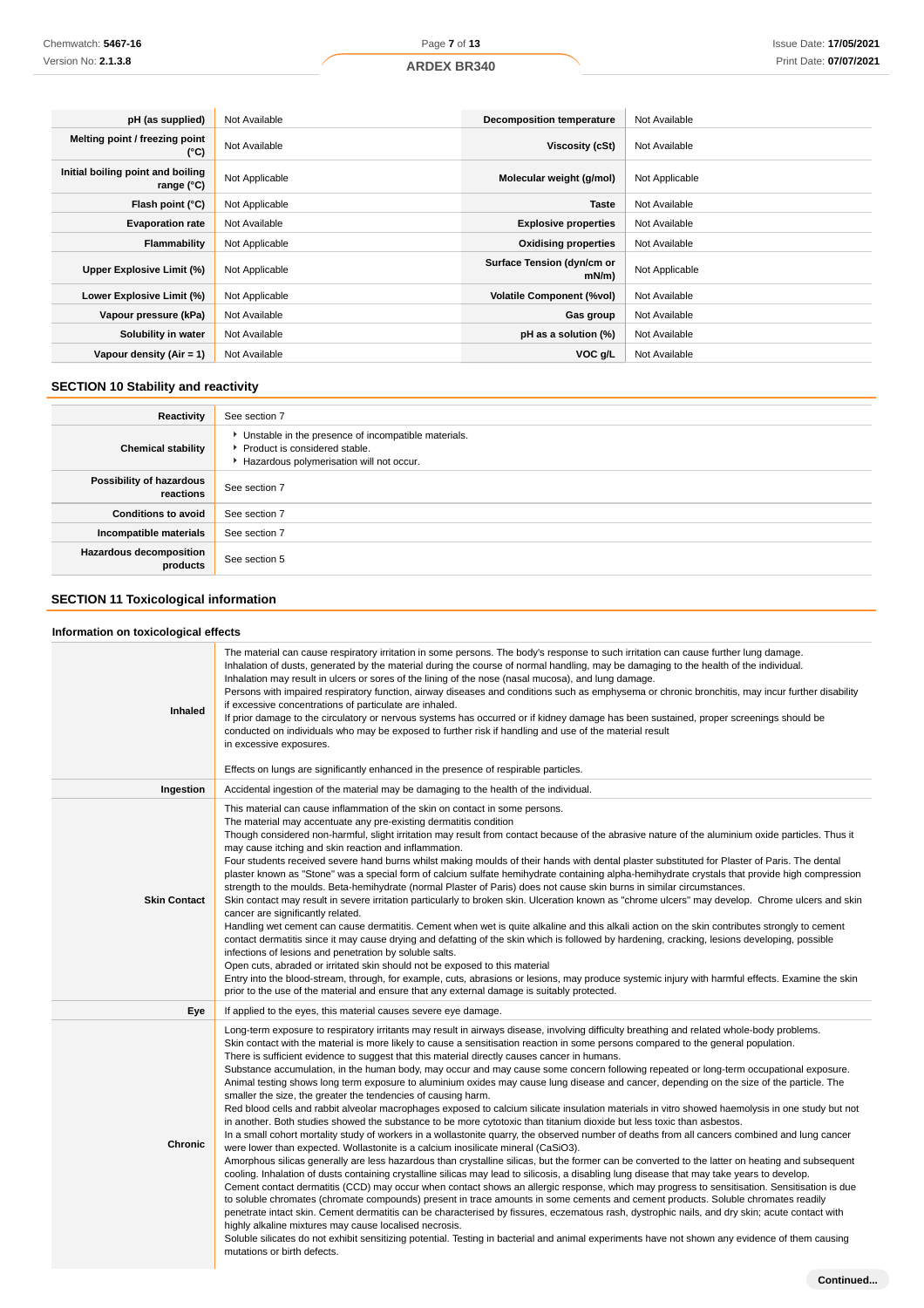| pH (as supplied)                                | Not Available  | <b>Decomposition temperature</b>   | Not Available  |
|-------------------------------------------------|----------------|------------------------------------|----------------|
| Melting point / freezing point<br>(°C)          | Not Available  | Viscosity (cSt)                    | Not Available  |
| Initial boiling point and boiling<br>range (°C) | Not Applicable | Molecular weight (g/mol)           | Not Applicable |
| Flash point (°C)                                | Not Applicable | Taste                              | Not Available  |
| <b>Evaporation rate</b>                         | Not Available  | <b>Explosive properties</b>        | Not Available  |
| Flammability                                    | Not Applicable | <b>Oxidising properties</b>        | Not Available  |
| Upper Explosive Limit (%)                       | Not Applicable | Surface Tension (dyn/cm or<br>mN/m | Not Applicable |
| Lower Explosive Limit (%)                       | Not Applicable | <b>Volatile Component (%vol)</b>   | Not Available  |
| Vapour pressure (kPa)                           | Not Available  | Gas group                          | Not Available  |
| Solubility in water                             | Not Available  | pH as a solution (%)               | Not Available  |
| Vapour density $(Air = 1)$                      | Not Available  | VOC g/L                            | Not Available  |

# **SECTION 10 Stability and reactivity**

| Reactivity                                 | See section 7                                                                                                                        |
|--------------------------------------------|--------------------------------------------------------------------------------------------------------------------------------------|
| <b>Chemical stability</b>                  | • Unstable in the presence of incompatible materials.<br>▶ Product is considered stable.<br>Hazardous polymerisation will not occur. |
| Possibility of hazardous<br>reactions      | See section 7                                                                                                                        |
| <b>Conditions to avoid</b>                 | See section 7                                                                                                                        |
| Incompatible materials                     | See section 7                                                                                                                        |
| <b>Hazardous decomposition</b><br>products | See section 5                                                                                                                        |

# **SECTION 11 Toxicological information**

# **Information on toxicological effects**

| Inhaled             | The material can cause respiratory irritation in some persons. The body's response to such irritation can cause further lung damage.<br>Inhalation of dusts, generated by the material during the course of normal handling, may be damaging to the health of the individual.<br>Inhalation may result in ulcers or sores of the lining of the nose (nasal mucosa), and lung damage.<br>Persons with impaired respiratory function, airway diseases and conditions such as emphysema or chronic bronchitis, may incur further disability<br>if excessive concentrations of particulate are inhaled.<br>If prior damage to the circulatory or nervous systems has occurred or if kidney damage has been sustained, proper screenings should be<br>conducted on individuals who may be exposed to further risk if handling and use of the material result<br>in excessive exposures.<br>Effects on lungs are significantly enhanced in the presence of respirable particles.                                                                                                                                                                                                                                                                                                                                                                                                                                                                                                                                                                                                                                                                                                                                                                                                                                                                                                                                                                                                                                                                                                                                                                                                                                                                           |
|---------------------|------------------------------------------------------------------------------------------------------------------------------------------------------------------------------------------------------------------------------------------------------------------------------------------------------------------------------------------------------------------------------------------------------------------------------------------------------------------------------------------------------------------------------------------------------------------------------------------------------------------------------------------------------------------------------------------------------------------------------------------------------------------------------------------------------------------------------------------------------------------------------------------------------------------------------------------------------------------------------------------------------------------------------------------------------------------------------------------------------------------------------------------------------------------------------------------------------------------------------------------------------------------------------------------------------------------------------------------------------------------------------------------------------------------------------------------------------------------------------------------------------------------------------------------------------------------------------------------------------------------------------------------------------------------------------------------------------------------------------------------------------------------------------------------------------------------------------------------------------------------------------------------------------------------------------------------------------------------------------------------------------------------------------------------------------------------------------------------------------------------------------------------------------------------------------------------------------------------------------------------------------|
| Ingestion           | Accidental ingestion of the material may be damaging to the health of the individual.                                                                                                                                                                                                                                                                                                                                                                                                                                                                                                                                                                                                                                                                                                                                                                                                                                                                                                                                                                                                                                                                                                                                                                                                                                                                                                                                                                                                                                                                                                                                                                                                                                                                                                                                                                                                                                                                                                                                                                                                                                                                                                                                                                |
| <b>Skin Contact</b> | This material can cause inflammation of the skin on contact in some persons.<br>The material may accentuate any pre-existing dermatitis condition<br>Though considered non-harmful, slight irritation may result from contact because of the abrasive nature of the aluminium oxide particles. Thus it<br>may cause itching and skin reaction and inflammation.<br>Four students received severe hand burns whilst making moulds of their hands with dental plaster substituted for Plaster of Paris. The dental<br>plaster known as "Stone" was a special form of calcium sulfate hemihydrate containing alpha-hemihydrate crystals that provide high compression<br>strength to the moulds. Beta-hemihydrate (normal Plaster of Paris) does not cause skin burns in similar circumstances.<br>Skin contact may result in severe irritation particularly to broken skin. Ulceration known as "chrome ulcers" may develop. Chrome ulcers and skin<br>cancer are significantly related.<br>Handling wet cement can cause dermatitis. Cement when wet is quite alkaline and this alkali action on the skin contributes strongly to cement<br>contact dermatitis since it may cause drying and defatting of the skin which is followed by hardening, cracking, lesions developing, possible<br>infections of lesions and penetration by soluble salts.<br>Open cuts, abraded or irritated skin should not be exposed to this material<br>Entry into the blood-stream, through, for example, cuts, abrasions or lesions, may produce systemic injury with harmful effects. Examine the skin<br>prior to the use of the material and ensure that any external damage is suitably protected.                                                                                                                                                                                                                                                                                                                                                                                                                                                                                                                                                               |
| Eye                 | If applied to the eyes, this material causes severe eye damage.                                                                                                                                                                                                                                                                                                                                                                                                                                                                                                                                                                                                                                                                                                                                                                                                                                                                                                                                                                                                                                                                                                                                                                                                                                                                                                                                                                                                                                                                                                                                                                                                                                                                                                                                                                                                                                                                                                                                                                                                                                                                                                                                                                                      |
| <b>Chronic</b>      | Long-term exposure to respiratory irritants may result in airways disease, involving difficulty breathing and related whole-body problems.<br>Skin contact with the material is more likely to cause a sensitisation reaction in some persons compared to the general population.<br>There is sufficient evidence to suggest that this material directly causes cancer in humans.<br>Substance accumulation, in the human body, may occur and may cause some concern following repeated or long-term occupational exposure.<br>Animal testing shows long term exposure to aluminium oxides may cause lung disease and cancer, depending on the size of the particle. The<br>smaller the size, the greater the tendencies of causing harm.<br>Red blood cells and rabbit alveolar macrophages exposed to calcium silicate insulation materials in vitro showed haemolysis in one study but not<br>in another. Both studies showed the substance to be more cytotoxic than titanium dioxide but less toxic than asbestos.<br>In a small cohort mortality study of workers in a wollastonite quarry, the observed number of deaths from all cancers combined and lung cancer<br>were lower than expected. Wollastonite is a calcium inosilicate mineral (CaSiO3).<br>Amorphous silicas generally are less hazardous than crystalline silicas, but the former can be converted to the latter on heating and subsequent<br>cooling. Inhalation of dusts containing crystalline silicas may lead to silicosis, a disabling lung disease that may take years to develop.<br>Cement contact dermatitis (CCD) may occur when contact shows an allergic response, which may progress to sensitisation. Sensitisation is due<br>to soluble chromates (chromate compounds) present in trace amounts in some cements and cement products. Soluble chromates readily<br>penetrate intact skin. Cement dermatitis can be characterised by fissures, eczematous rash, dystrophic nails, and dry skin; acute contact with<br>highly alkaline mixtures may cause localised necrosis.<br>Soluble silicates do not exhibit sensitizing potential. Testing in bacterial and animal experiments have not shown any evidence of them causing<br>mutations or birth defects. |
|                     | Continued                                                                                                                                                                                                                                                                                                                                                                                                                                                                                                                                                                                                                                                                                                                                                                                                                                                                                                                                                                                                                                                                                                                                                                                                                                                                                                                                                                                                                                                                                                                                                                                                                                                                                                                                                                                                                                                                                                                                                                                                                                                                                                                                                                                                                                            |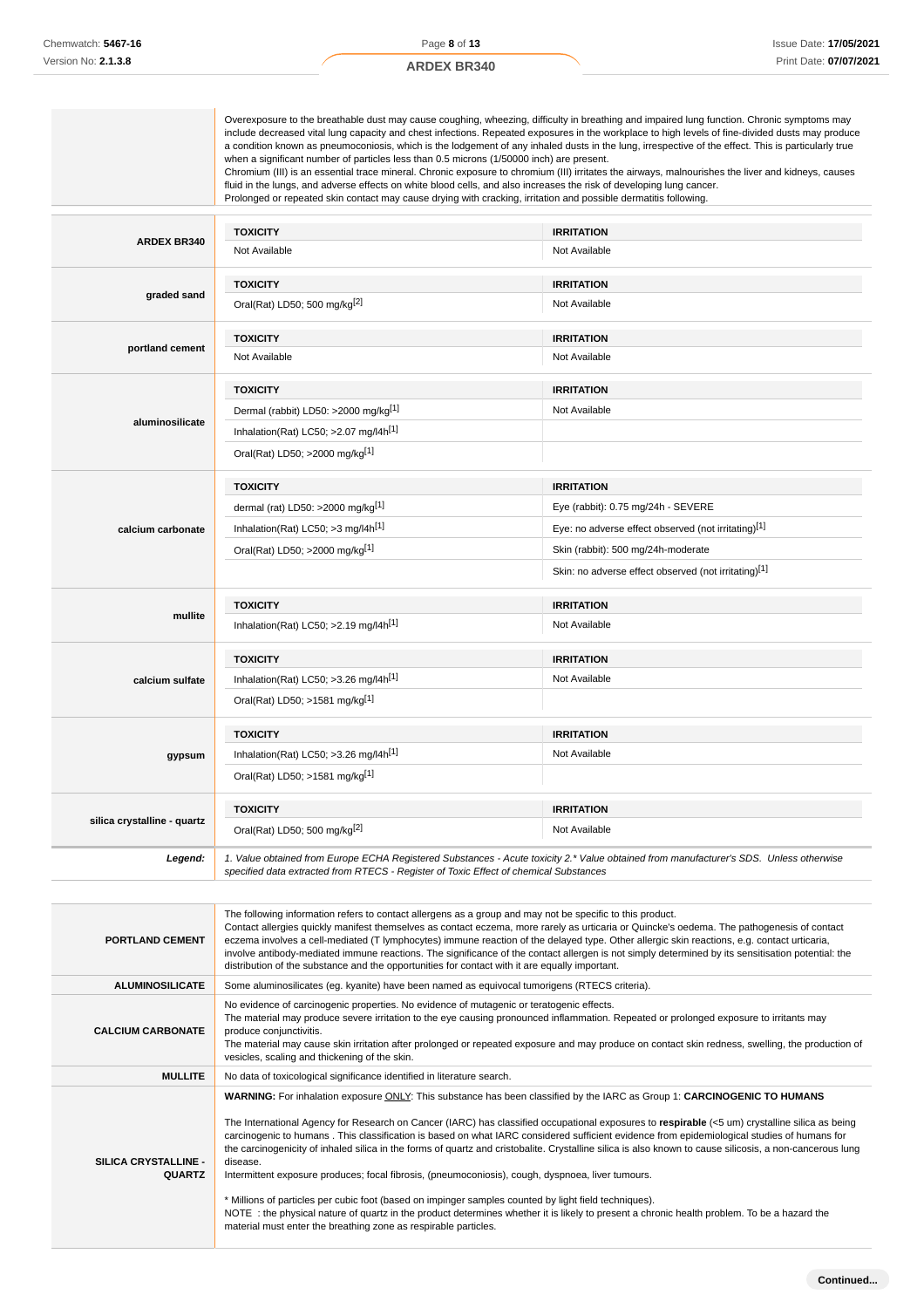|                             | when a significant number of particles less than 0.5 microns (1/50000 inch) are present.<br>Prolonged or repeated skin contact may cause drying with cracking, irritation and possible dermatitis following. | Overexposure to the breathable dust may cause coughing, wheezing, difficulty in breathing and impaired lung function. Chronic symptoms may<br>include decreased vital lung capacity and chest infections. Repeated exposures in the workplace to high levels of fine-divided dusts may produce<br>a condition known as pneumoconiosis, which is the lodgement of any inhaled dusts in the lung, irrespective of the effect. This is particularly true<br>Chromium (III) is an essential trace mineral. Chronic exposure to chromium (III) irritates the airways, malnourishes the liver and kidneys, causes<br>fluid in the lungs, and adverse effects on white blood cells, and also increases the risk of developing lung cancer. |
|-----------------------------|--------------------------------------------------------------------------------------------------------------------------------------------------------------------------------------------------------------|-------------------------------------------------------------------------------------------------------------------------------------------------------------------------------------------------------------------------------------------------------------------------------------------------------------------------------------------------------------------------------------------------------------------------------------------------------------------------------------------------------------------------------------------------------------------------------------------------------------------------------------------------------------------------------------------------------------------------------------|
|                             | <b>TOXICITY</b>                                                                                                                                                                                              | <b>IRRITATION</b>                                                                                                                                                                                                                                                                                                                                                                                                                                                                                                                                                                                                                                                                                                                   |
| <b>ARDEX BR340</b>          | Not Available                                                                                                                                                                                                | Not Available                                                                                                                                                                                                                                                                                                                                                                                                                                                                                                                                                                                                                                                                                                                       |
|                             | <b>TOXICITY</b>                                                                                                                                                                                              | <b>IRRITATION</b>                                                                                                                                                                                                                                                                                                                                                                                                                                                                                                                                                                                                                                                                                                                   |
| graded sand                 | Oral(Rat) LD50; 500 mg/kg <sup>[2]</sup>                                                                                                                                                                     | Not Available                                                                                                                                                                                                                                                                                                                                                                                                                                                                                                                                                                                                                                                                                                                       |
|                             | <b>TOXICITY</b>                                                                                                                                                                                              | <b>IRRITATION</b>                                                                                                                                                                                                                                                                                                                                                                                                                                                                                                                                                                                                                                                                                                                   |
| portland cement             | Not Available                                                                                                                                                                                                | Not Available                                                                                                                                                                                                                                                                                                                                                                                                                                                                                                                                                                                                                                                                                                                       |
|                             | <b>TOXICITY</b>                                                                                                                                                                                              | <b>IRRITATION</b>                                                                                                                                                                                                                                                                                                                                                                                                                                                                                                                                                                                                                                                                                                                   |
|                             | Dermal (rabbit) LD50: >2000 mg/kg <sup>[1]</sup>                                                                                                                                                             | Not Available                                                                                                                                                                                                                                                                                                                                                                                                                                                                                                                                                                                                                                                                                                                       |
| aluminosilicate             | Inhalation(Rat) LC50; > 2.07 mg/l4h[1]                                                                                                                                                                       |                                                                                                                                                                                                                                                                                                                                                                                                                                                                                                                                                                                                                                                                                                                                     |
|                             | Oral(Rat) LD50; >2000 mg/kg[1]                                                                                                                                                                               |                                                                                                                                                                                                                                                                                                                                                                                                                                                                                                                                                                                                                                                                                                                                     |
|                             | <b>TOXICITY</b>                                                                                                                                                                                              | <b>IRRITATION</b>                                                                                                                                                                                                                                                                                                                                                                                                                                                                                                                                                                                                                                                                                                                   |
|                             | dermal (rat) LD50: >2000 mg/kg $[1]$                                                                                                                                                                         | Eye (rabbit): 0.75 mg/24h - SEVERE                                                                                                                                                                                                                                                                                                                                                                                                                                                                                                                                                                                                                                                                                                  |
| calcium carbonate           | Inhalation(Rat) LC50; $>3$ mg/l4h <sup>[1]</sup>                                                                                                                                                             | Eye: no adverse effect observed (not irritating)[1]                                                                                                                                                                                                                                                                                                                                                                                                                                                                                                                                                                                                                                                                                 |
|                             | Oral(Rat) LD50; >2000 mg/kg[1]                                                                                                                                                                               | Skin (rabbit): 500 mg/24h-moderate                                                                                                                                                                                                                                                                                                                                                                                                                                                                                                                                                                                                                                                                                                  |
|                             |                                                                                                                                                                                                              | Skin: no adverse effect observed (not irritating)[1]                                                                                                                                                                                                                                                                                                                                                                                                                                                                                                                                                                                                                                                                                |
|                             | <b>TOXICITY</b>                                                                                                                                                                                              | <b>IRRITATION</b>                                                                                                                                                                                                                                                                                                                                                                                                                                                                                                                                                                                                                                                                                                                   |
| mullite                     | Inhalation(Rat) LC50; > 2.19 mg/l4h[1]                                                                                                                                                                       | Not Available                                                                                                                                                                                                                                                                                                                                                                                                                                                                                                                                                                                                                                                                                                                       |
|                             | <b>TOXICITY</b>                                                                                                                                                                                              | <b>IRRITATION</b>                                                                                                                                                                                                                                                                                                                                                                                                                                                                                                                                                                                                                                                                                                                   |
| calcium sulfate             | Inhalation(Rat) LC50; >3.26 mg/l4h <sup>[1]</sup>                                                                                                                                                            | Not Available                                                                                                                                                                                                                                                                                                                                                                                                                                                                                                                                                                                                                                                                                                                       |
|                             | Oral(Rat) LD50; >1581 mg/kg[1]                                                                                                                                                                               |                                                                                                                                                                                                                                                                                                                                                                                                                                                                                                                                                                                                                                                                                                                                     |
|                             | <b>TOXICITY</b>                                                                                                                                                                                              | <b>IRRITATION</b>                                                                                                                                                                                                                                                                                                                                                                                                                                                                                                                                                                                                                                                                                                                   |
| gypsum                      | Inhalation(Rat) LC50; >3.26 mg/l4h[1]                                                                                                                                                                        | Not Available                                                                                                                                                                                                                                                                                                                                                                                                                                                                                                                                                                                                                                                                                                                       |
|                             | Oral(Rat) LD50; >1581 mg/kg <sup>[1]</sup>                                                                                                                                                                   |                                                                                                                                                                                                                                                                                                                                                                                                                                                                                                                                                                                                                                                                                                                                     |
|                             | <b>TOXICITY</b>                                                                                                                                                                                              | <b>IRRITATION</b>                                                                                                                                                                                                                                                                                                                                                                                                                                                                                                                                                                                                                                                                                                                   |
| silica crystalline - quartz | Oral(Rat) LD50; 500 mg/kg <sup>[2]</sup>                                                                                                                                                                     | Not Available                                                                                                                                                                                                                                                                                                                                                                                                                                                                                                                                                                                                                                                                                                                       |
| Legend:                     | specified data extracted from RTECS - Register of Toxic Effect of chemical Substances                                                                                                                        | 1. Value obtained from Europe ECHA Registered Substances - Acute toxicity 2.* Value obtained from manufacturer's SDS. Unless otherwise                                                                                                                                                                                                                                                                                                                                                                                                                                                                                                                                                                                              |

| <b>PORTLAND CEMENT</b>                | The following information refers to contact allergens as a group and may not be specific to this product.<br>Contact allergies quickly manifest themselves as contact eczema, more rarely as urticaria or Quincke's oedema. The pathogenesis of contact<br>eczema involves a cell-mediated (T lymphocytes) immune reaction of the delayed type. Other allergic skin reactions, e.g. contact urticaria,<br>involve antibody-mediated immune reactions. The significance of the contact allergen is not simply determined by its sensitisation potential: the<br>distribution of the substance and the opportunities for contact with it are equally important.                                                                                                                                                                                                                                                                                                                                                                          |
|---------------------------------------|----------------------------------------------------------------------------------------------------------------------------------------------------------------------------------------------------------------------------------------------------------------------------------------------------------------------------------------------------------------------------------------------------------------------------------------------------------------------------------------------------------------------------------------------------------------------------------------------------------------------------------------------------------------------------------------------------------------------------------------------------------------------------------------------------------------------------------------------------------------------------------------------------------------------------------------------------------------------------------------------------------------------------------------|
| <b>ALUMINOSILICATE</b>                | Some aluminosilicates (eg. kyanite) have been named as equivocal tumorigens (RTECS criteria).                                                                                                                                                                                                                                                                                                                                                                                                                                                                                                                                                                                                                                                                                                                                                                                                                                                                                                                                          |
| <b>CALCIUM CARBONATE</b>              | No evidence of carcinogenic properties. No evidence of mutagenic or teratogenic effects.<br>The material may produce severe irritation to the eye causing pronounced inflammation. Repeated or prolonged exposure to irritants may<br>produce conjunctivitis.<br>The material may cause skin irritation after prolonged or repeated exposure and may produce on contact skin redness, swelling, the production of<br>vesicles, scaling and thickening of the skin.                                                                                                                                                                                                                                                                                                                                                                                                                                                                                                                                                                     |
| <b>MULLITE</b>                        | No data of toxicological significance identified in literature search.                                                                                                                                                                                                                                                                                                                                                                                                                                                                                                                                                                                                                                                                                                                                                                                                                                                                                                                                                                 |
| SILICA CRYSTALLINE -<br><b>QUARTZ</b> | WARNING: For inhalation exposure ONLY: This substance has been classified by the IARC as Group 1: CARCINOGENIC TO HUMANS<br>The International Agency for Research on Cancer (IARC) has classified occupational exposures to respirable $\leq$ 5 um) crystalline silica as being<br>carcinogenic to humans . This classification is based on what IARC considered sufficient evidence from epidemiological studies of humans for<br>the carcinogenicity of inhaled silica in the forms of quartz and cristobalite. Crystalline silica is also known to cause silicosis, a non-cancerous lung<br>disease.<br>Intermittent exposure produces; focal fibrosis, (pneumoconiosis), cough, dyspnoea, liver tumours.<br>* Millions of particles per cubic foot (based on impinger samples counted by light field techniques).<br>NOTE: the physical nature of quartz in the product determines whether it is likely to present a chronic health problem. To be a hazard the<br>material must enter the breathing zone as respirable particles. |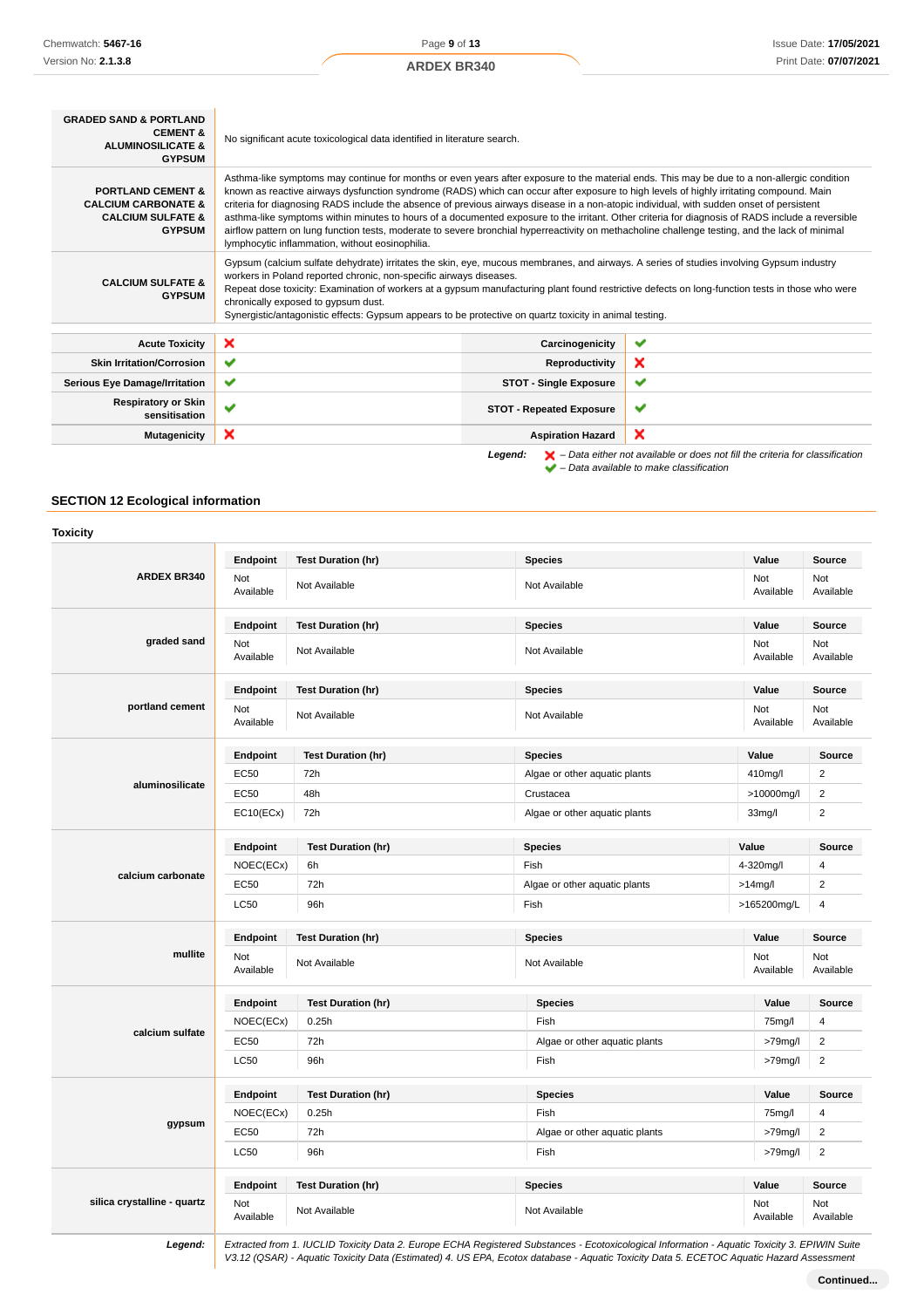Page **9** of **13**

| <b>GRADED SAND &amp; PORTLAND</b><br><b>CEMENT &amp;</b><br><b>ALUMINOSILICATE &amp;</b><br><b>GYPSUM</b>       | No significant acute toxicological data identified in literature search.                                                                                                                                                                                                                                                                                                                                                                                                                                                                                                                                                                                                                                                                                                                     |                                 |                                                                                                    |
|-----------------------------------------------------------------------------------------------------------------|----------------------------------------------------------------------------------------------------------------------------------------------------------------------------------------------------------------------------------------------------------------------------------------------------------------------------------------------------------------------------------------------------------------------------------------------------------------------------------------------------------------------------------------------------------------------------------------------------------------------------------------------------------------------------------------------------------------------------------------------------------------------------------------------|---------------------------------|----------------------------------------------------------------------------------------------------|
| <b>PORTLAND CEMENT &amp;</b><br><b>CALCIUM CARBONATE &amp;</b><br><b>CALCIUM SULFATE &amp;</b><br><b>GYPSUM</b> | Asthma-like symptoms may continue for months or even years after exposure to the material ends. This may be due to a non-allergic condition<br>known as reactive airways dysfunction syndrome (RADS) which can occur after exposure to high levels of highly irritating compound. Main<br>criteria for diagnosing RADS include the absence of previous airways disease in a non-atopic individual, with sudden onset of persistent<br>asthma-like symptoms within minutes to hours of a documented exposure to the irritant. Other criteria for diagnosis of RADS include a reversible<br>airflow pattern on lung function tests, moderate to severe bronchial hyperreactivity on methacholine challenge testing, and the lack of minimal<br>lymphocytic inflammation, without eosinophilia. |                                 |                                                                                                    |
| <b>CALCIUM SULFATE &amp;</b><br><b>GYPSUM</b>                                                                   | Gypsum (calcium sulfate dehydrate) irritates the skin, eye, mucous membranes, and airways. A series of studies involving Gypsum industry<br>workers in Poland reported chronic, non-specific airways diseases.<br>Repeat dose toxicity: Examination of workers at a gypsum manufacturing plant found restrictive defects on long-function tests in those who were<br>chronically exposed to gypsum dust.<br>Synergistic/antagonistic effects: Gypsum appears to be protective on quartz toxicity in animal testing.                                                                                                                                                                                                                                                                          |                                 |                                                                                                    |
| <b>Acute Toxicity</b>                                                                                           | ×                                                                                                                                                                                                                                                                                                                                                                                                                                                                                                                                                                                                                                                                                                                                                                                            | Carcinogenicity                 | ✔                                                                                                  |
| <b>Skin Irritation/Corrosion</b>                                                                                | ✔                                                                                                                                                                                                                                                                                                                                                                                                                                                                                                                                                                                                                                                                                                                                                                                            | Reproductivity                  | ×                                                                                                  |
| <b>Serious Eye Damage/Irritation</b>                                                                            | ✔                                                                                                                                                                                                                                                                                                                                                                                                                                                                                                                                                                                                                                                                                                                                                                                            | <b>STOT - Single Exposure</b>   | $\checkmark$                                                                                       |
| <b>Respiratory or Skin</b><br>sensitisation                                                                     | $\checkmark$                                                                                                                                                                                                                                                                                                                                                                                                                                                                                                                                                                                                                                                                                                                                                                                 | <b>STOT - Repeated Exposure</b> | ✔                                                                                                  |
| <b>Mutagenicity</b>                                                                                             | ×                                                                                                                                                                                                                                                                                                                                                                                                                                                                                                                                                                                                                                                                                                                                                                                            | <b>Aspiration Hazard</b>        | ×                                                                                                  |
|                                                                                                                 |                                                                                                                                                                                                                                                                                                                                                                                                                                                                                                                                                                                                                                                                                                                                                                                              | Leaend:                         | $\blacktriangleright$ - Data either not available or does not fill the criteria for classification |

– Data available to make classification

# **SECTION 12 Ecological information**

| <b>Toxicity</b>             |                  |                           |                               |                  |                  |
|-----------------------------|------------------|---------------------------|-------------------------------|------------------|------------------|
| <b>ARDEX BR340</b>          | Endpoint         | <b>Test Duration (hr)</b> | <b>Species</b>                | Value            | Source           |
|                             | Not<br>Available | Not Available             | Not Available                 | Not<br>Available | Not<br>Available |
|                             | Endpoint         | <b>Test Duration (hr)</b> | <b>Species</b>                | Value            | <b>Source</b>    |
| graded sand                 | Not<br>Available | Not Available             | Not Available                 | Not<br>Available | Not<br>Available |
|                             | Endpoint         | <b>Test Duration (hr)</b> | <b>Species</b>                | Value            | Source           |
| portland cement             | Not<br>Available | Not Available             | Not Available                 | Not<br>Available | Not<br>Available |
|                             | Endpoint         | <b>Test Duration (hr)</b> | <b>Species</b>                | Value            | Source           |
|                             | <b>EC50</b>      | 72h                       | Algae or other aquatic plants | 410mg/l          | $\overline{2}$   |
| aluminosilicate             | <b>EC50</b>      | 48h                       | Crustacea                     | >10000mg/l       | $\overline{2}$   |
|                             | EC10(ECx)        | 72h                       | Algae or other aquatic plants | 33mg/l           | $\overline{2}$   |
|                             | Endpoint         | <b>Test Duration (hr)</b> | <b>Species</b>                | Value            | Source           |
|                             | NOEC(ECx)        | 6h                        | Fish                          | 4-320mg/l        | 4                |
| calcium carbonate           | EC50             | 72h                       | Algae or other aquatic plants | $>14$ mg/l       | $\overline{2}$   |
|                             | <b>LC50</b>      | 96h                       | Fish                          | >165200mg/L      | 4                |
|                             | Endpoint         | <b>Test Duration (hr)</b> | <b>Species</b>                | Value            | Source           |
| mullite                     | Not<br>Available | Not Available             | Not Available                 | Not<br>Available | Not<br>Available |
|                             | Endpoint         | <b>Test Duration (hr)</b> | <b>Species</b>                | Value            | <b>Source</b>    |
|                             | NOEC(ECx)        | 0.25h                     | Fish                          | 75mg/l           | 4                |
| calcium sulfate             | EC50             | 72h                       | Algae or other aquatic plants | $>79$ mg/l       | $\overline{2}$   |
|                             | <b>LC50</b>      | 96h                       | Fish                          | $>79$ mg/l       | $\overline{2}$   |
|                             | Endpoint         | <b>Test Duration (hr)</b> | <b>Species</b>                | Value            | <b>Source</b>    |
|                             | NOEC(ECx)        | 0.25h                     | Fish                          | 75mg/l           | $\overline{4}$   |
| gypsum                      | <b>EC50</b>      | 72h                       | Algae or other aquatic plants | $>79$ mg/l       | $\overline{2}$   |
|                             | <b>LC50</b>      | 96h                       | Fish                          | $>79$ mg/l       | $\overline{2}$   |
|                             | Endpoint         | <b>Test Duration (hr)</b> | <b>Species</b>                | Value            | <b>Source</b>    |
| silica crystalline - quartz | Not<br>Available | Not Available             | Not Available                 | Not<br>Available | Not<br>Available |

**Legend:** Extracted from 1. IUCLID Toxicity Data 2. Europe ECHA Registered Substances - Ecotoxicological Information - Aquatic Toxicity 3. EPIWIN Suite V3.12 (QSAR) - Aquatic Toxicity Data (Estimated) 4. US EPA, Ecotox database - Aquatic Toxicity Data 5. ECETOC Aquatic Hazard Assessment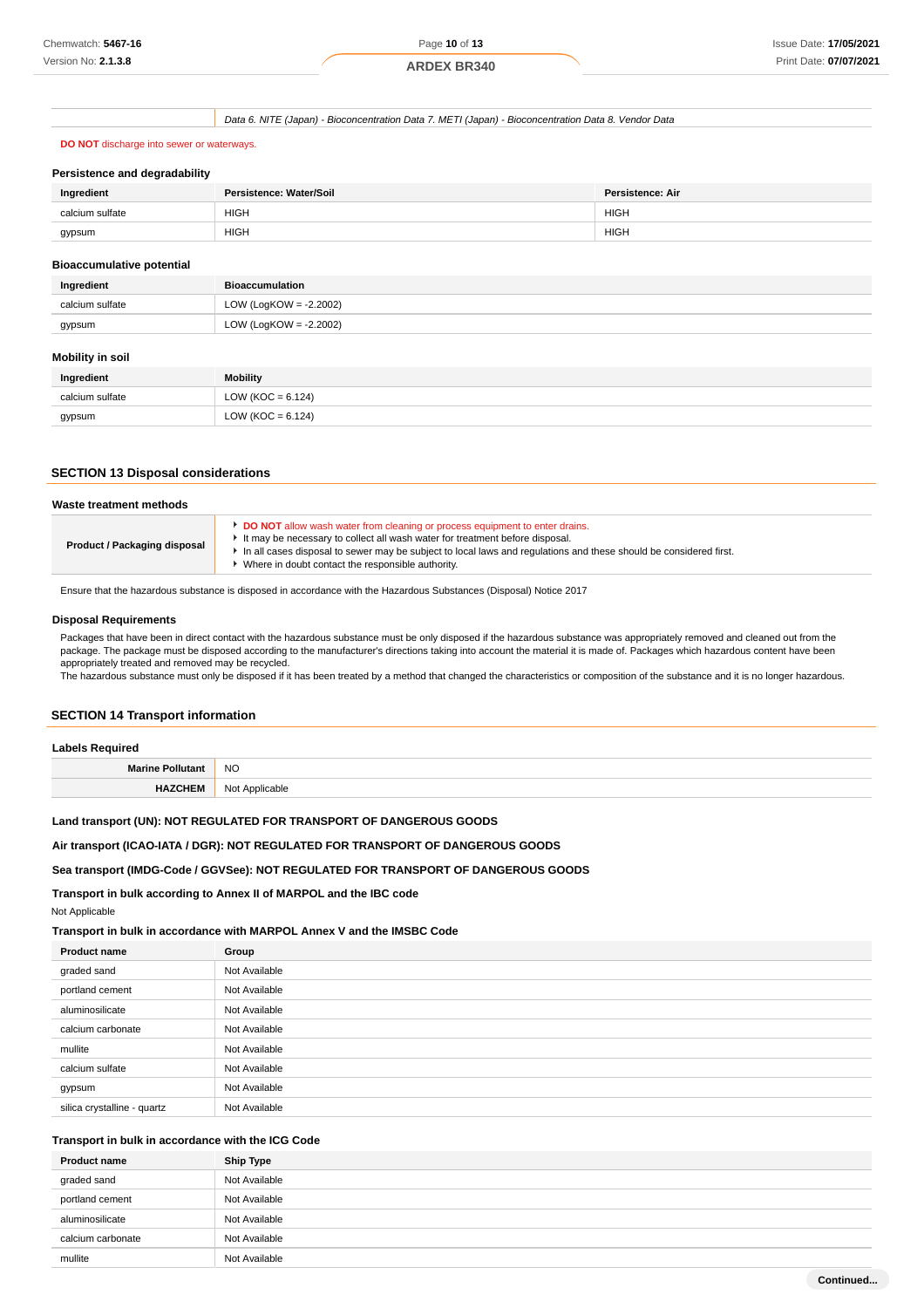# **ARDEX BR340**

Data 6. NITE (Japan) - Bioconcentration Data 7. METI (Japan) - Bioconcentration Data 8. Vendor Data

# **DO NOT** discharge into sewer or waterways.

#### **Persistence and degradability**

| Ingredient      | Persistence: Water/Soil | Persistence: Air |
|-----------------|-------------------------|------------------|
| calcium sulfate | <b>HIGH</b>             | <b>HIGH</b>      |
| gypsum          | <b>HIGH</b>             | <b>HIGH</b>      |

#### **Bioaccumulative potential**

| Ingredient      | <b>Bioaccumulation</b>    |
|-----------------|---------------------------|
| calcium sulfate | LOW (LogKOW = $-2.2002$ ) |
| gypsum          | LOW (LogKOW = $-2.2002$ ) |

### **Mobility in soil**

| Ingredient      | <b>Mobility</b>       |
|-----------------|-----------------------|
| calcium sulfate | LOW ( $KOC = 6.124$ ) |
| gypsum          | LOW ( $KOC = 6.124$ ) |

# **SECTION 13 Disposal considerations**

| Waste treatment methods      |                                                                                                                                                                                                                                                                                                                                         |
|------------------------------|-----------------------------------------------------------------------------------------------------------------------------------------------------------------------------------------------------------------------------------------------------------------------------------------------------------------------------------------|
| Product / Packaging disposal | DO NOT allow wash water from cleaning or process equipment to enter drains.<br>It may be necessary to collect all wash water for treatment before disposal.<br>h in all cases disposal to sewer may be subject to local laws and regulations and these should be considered first.<br>Where in doubt contact the responsible authority. |

Ensure that the hazardous substance is disposed in accordance with the Hazardous Substances (Disposal) Notice 2017

### **Disposal Requirements**

Packages that have been in direct contact with the hazardous substance must be only disposed if the hazardous substance was appropriately removed and cleaned out from the package. The package must be disposed according to the manufacturer's directions taking into account the material it is made of. Packages which hazardous content have been appropriately treated and removed may be recycled.

The hazardous substance must only be disposed if it has been treated by a method that changed the characteristics or composition of the substance and it is no longer hazardous.

# **SECTION 14 Transport information**

| <b>Labels Required</b>  |                       |
|-------------------------|-----------------------|
| <b>Marine Pollutant</b> | <b>NO</b>             |
|                         | Not /<br>: Applicable |

# **Land transport (UN): NOT REGULATED FOR TRANSPORT OF DANGEROUS GOODS**

# **Air transport (ICAO-IATA / DGR): NOT REGULATED FOR TRANSPORT OF DANGEROUS GOODS**

# **Sea transport (IMDG-Code / GGVSee): NOT REGULATED FOR TRANSPORT OF DANGEROUS GOODS**

# **Transport in bulk according to Annex II of MARPOL and the IBC code**

Not Applicable

# **Transport in bulk in accordance with MARPOL Annex V and the IMSBC Code**

| Product name                | Group         |
|-----------------------------|---------------|
| graded sand                 | Not Available |
| portland cement             | Not Available |
| aluminosilicate             | Not Available |
| calcium carbonate           | Not Available |
| mullite                     | Not Available |
| calcium sulfate             | Not Available |
| gypsum                      | Not Available |
| silica crystalline - quartz | Not Available |

# **Transport in bulk in accordance with the ICG Code**

| <b>Product name</b> | <b>Ship Type</b> |
|---------------------|------------------|
| graded sand         | Not Available    |
| portland cement     | Not Available    |
| aluminosilicate     | Not Available    |
| calcium carbonate   | Not Available    |
| mullite             | Not Available    |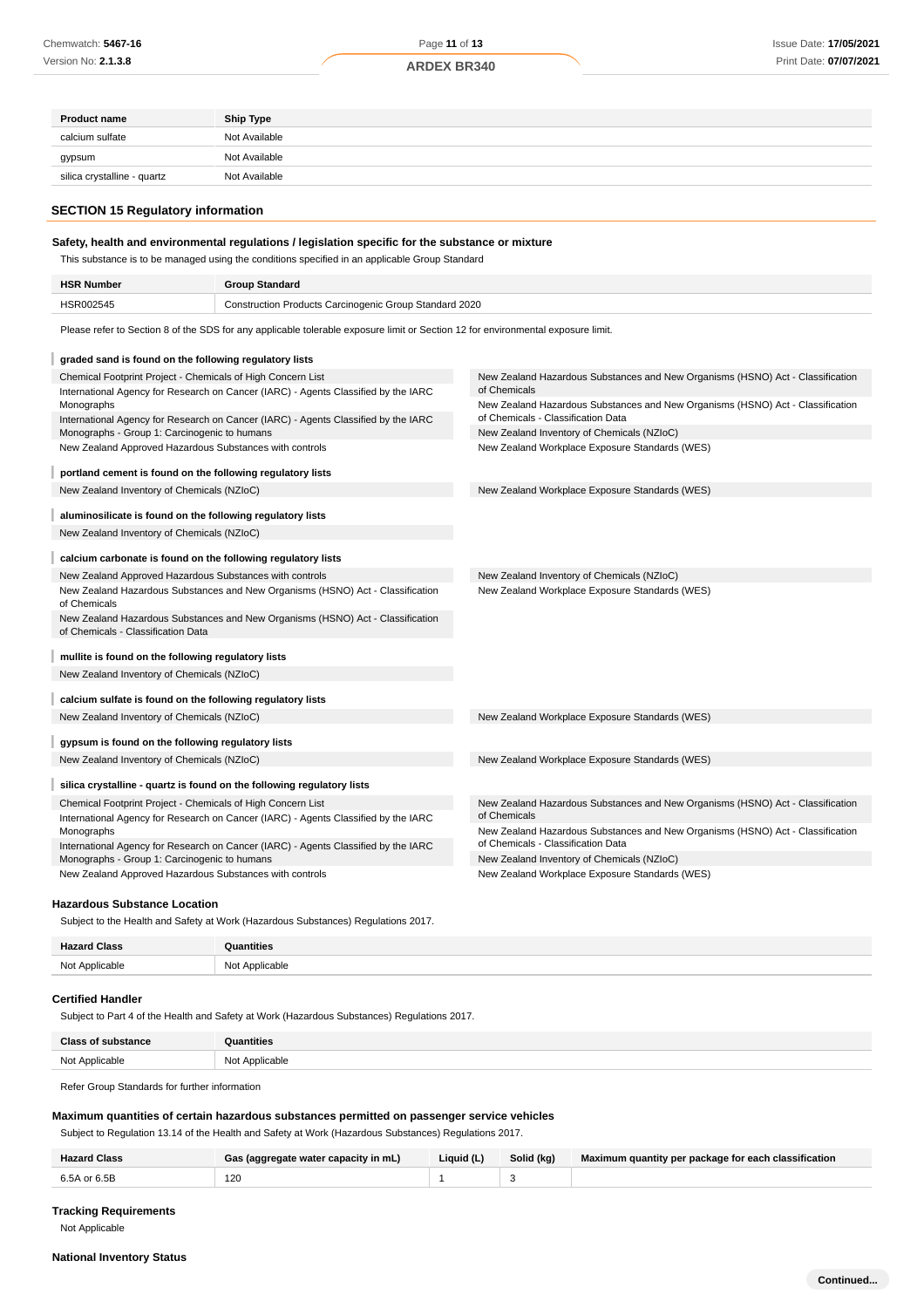| <b>Product name</b>                                          | <b>Ship Type</b>                                                                                                                 |                                                                                                                      |
|--------------------------------------------------------------|----------------------------------------------------------------------------------------------------------------------------------|----------------------------------------------------------------------------------------------------------------------|
| calcium sulfate                                              | Not Available                                                                                                                    |                                                                                                                      |
| gypsum                                                       | Not Available                                                                                                                    |                                                                                                                      |
| silica crystalline - quartz                                  | Not Available                                                                                                                    |                                                                                                                      |
|                                                              |                                                                                                                                  |                                                                                                                      |
| <b>SECTION 15 Regulatory information</b>                     |                                                                                                                                  |                                                                                                                      |
|                                                              |                                                                                                                                  |                                                                                                                      |
|                                                              | Safety, health and environmental regulations / legislation specific for the substance or mixture                                 |                                                                                                                      |
|                                                              | This substance is to be managed using the conditions specified in an applicable Group Standard                                   |                                                                                                                      |
| <b>HSR Number</b>                                            | <b>Group Standard</b>                                                                                                            |                                                                                                                      |
| HSR002545                                                    | Construction Products Carcinogenic Group Standard 2020                                                                           |                                                                                                                      |
|                                                              | Please refer to Section 8 of the SDS for any applicable tolerable exposure limit or Section 12 for environmental exposure limit. |                                                                                                                      |
|                                                              |                                                                                                                                  |                                                                                                                      |
| graded sand is found on the following regulatory lists       |                                                                                                                                  |                                                                                                                      |
| Chemical Footprint Project - Chemicals of High Concern List  |                                                                                                                                  | New Zealand Hazardous Substances and New Organisms (HSNO) Act - Classification<br>of Chemicals                       |
| Monographs                                                   | International Agency for Research on Cancer (IARC) - Agents Classified by the IARC                                               | New Zealand Hazardous Substances and New Organisms (HSNO) Act - Classification                                       |
|                                                              | International Agency for Research on Cancer (IARC) - Agents Classified by the IARC                                               | of Chemicals - Classification Data                                                                                   |
| Monographs - Group 1: Carcinogenic to humans                 |                                                                                                                                  | New Zealand Inventory of Chemicals (NZIoC)                                                                           |
| New Zealand Approved Hazardous Substances with controls      |                                                                                                                                  | New Zealand Workplace Exposure Standards (WES)                                                                       |
| portland cement is found on the following regulatory lists   |                                                                                                                                  |                                                                                                                      |
| New Zealand Inventory of Chemicals (NZIoC)                   |                                                                                                                                  | New Zealand Workplace Exposure Standards (WES)                                                                       |
| aluminosilicate is found on the following regulatory lists   |                                                                                                                                  |                                                                                                                      |
| New Zealand Inventory of Chemicals (NZIoC)                   |                                                                                                                                  |                                                                                                                      |
| calcium carbonate is found on the following regulatory lists |                                                                                                                                  |                                                                                                                      |
| New Zealand Approved Hazardous Substances with controls      |                                                                                                                                  | New Zealand Inventory of Chemicals (NZIoC)                                                                           |
|                                                              | New Zealand Hazardous Substances and New Organisms (HSNO) Act - Classification                                                   | New Zealand Workplace Exposure Standards (WES)                                                                       |
| of Chemicals                                                 |                                                                                                                                  |                                                                                                                      |
| of Chemicals - Classification Data                           | New Zealand Hazardous Substances and New Organisms (HSNO) Act - Classification                                                   |                                                                                                                      |
| mullite is found on the following regulatory lists           |                                                                                                                                  |                                                                                                                      |
| New Zealand Inventory of Chemicals (NZIoC)                   |                                                                                                                                  |                                                                                                                      |
|                                                              |                                                                                                                                  |                                                                                                                      |
| calcium sulfate is found on the following regulatory lists   |                                                                                                                                  |                                                                                                                      |
| New Zealand Inventory of Chemicals (NZIoC)                   |                                                                                                                                  | New Zealand Workplace Exposure Standards (WES)                                                                       |
| gypsum is found on the following regulatory lists            |                                                                                                                                  |                                                                                                                      |
| New Zealand Inventory of Chemicals (NZIoC)                   |                                                                                                                                  | New Zealand Workplace Exposure Standards (WES)                                                                       |
|                                                              | silica crystalline - quartz is found on the following regulatory lists                                                           |                                                                                                                      |
| Chemical Footprint Project - Chemicals of High Concern List  |                                                                                                                                  | New Zealand Hazardous Substances and New Organisms (HSNO) Act - Classification                                       |
|                                                              | International Agency for Research on Cancer (IARC) - Agents Classified by the IARC                                               | of Chemicals                                                                                                         |
| Monographs                                                   | International Agency for Research on Cancer (IARC) - Agents Classified by the IARC                                               | New Zealand Hazardous Substances and New Organisms (HSNO) Act - Classification<br>of Chemicals - Classification Data |
| Monographs - Group 1: Carcinogenic to humans                 |                                                                                                                                  | New Zealand Inventory of Chemicals (NZIoC)                                                                           |
| New Zealand Approved Hazardous Substances with controls      |                                                                                                                                  | New Zealand Workplace Exposure Standards (WES)                                                                       |
|                                                              |                                                                                                                                  |                                                                                                                      |

# **Hazardous Substance Location**

| <b>Hazard Class</b> | ntities                         |
|---------------------|---------------------------------|
| Not Applicable      | ` Applicable<br>N <sub>nt</sub> |

# **Certified Handler**

Subject to Part 4 of the Health and Safety at Work (Hazardous Substances) Regulations 2017.

| <b>Class of substance</b> | antities       |
|---------------------------|----------------|
| Not Applicable            | Not Applicable |
|                           |                |

Refer Group Standards for further information

# **Maximum quantities of certain hazardous substances permitted on passenger service vehicles**

Subject to Regulation 13.14 of the Health and Safety at Work (Hazardous Substances) Regulations 2017.

| Hazard Class | Gas (aggregate water capacity in mL) | Liquid (L) | Solid (kg) | Maximum quantity per package for each classification |
|--------------|--------------------------------------|------------|------------|------------------------------------------------------|
| 6.5A or 6.5B | 120<br>$\sim$                        |            |            |                                                      |

# **Tracking Requirements**

Not Applicable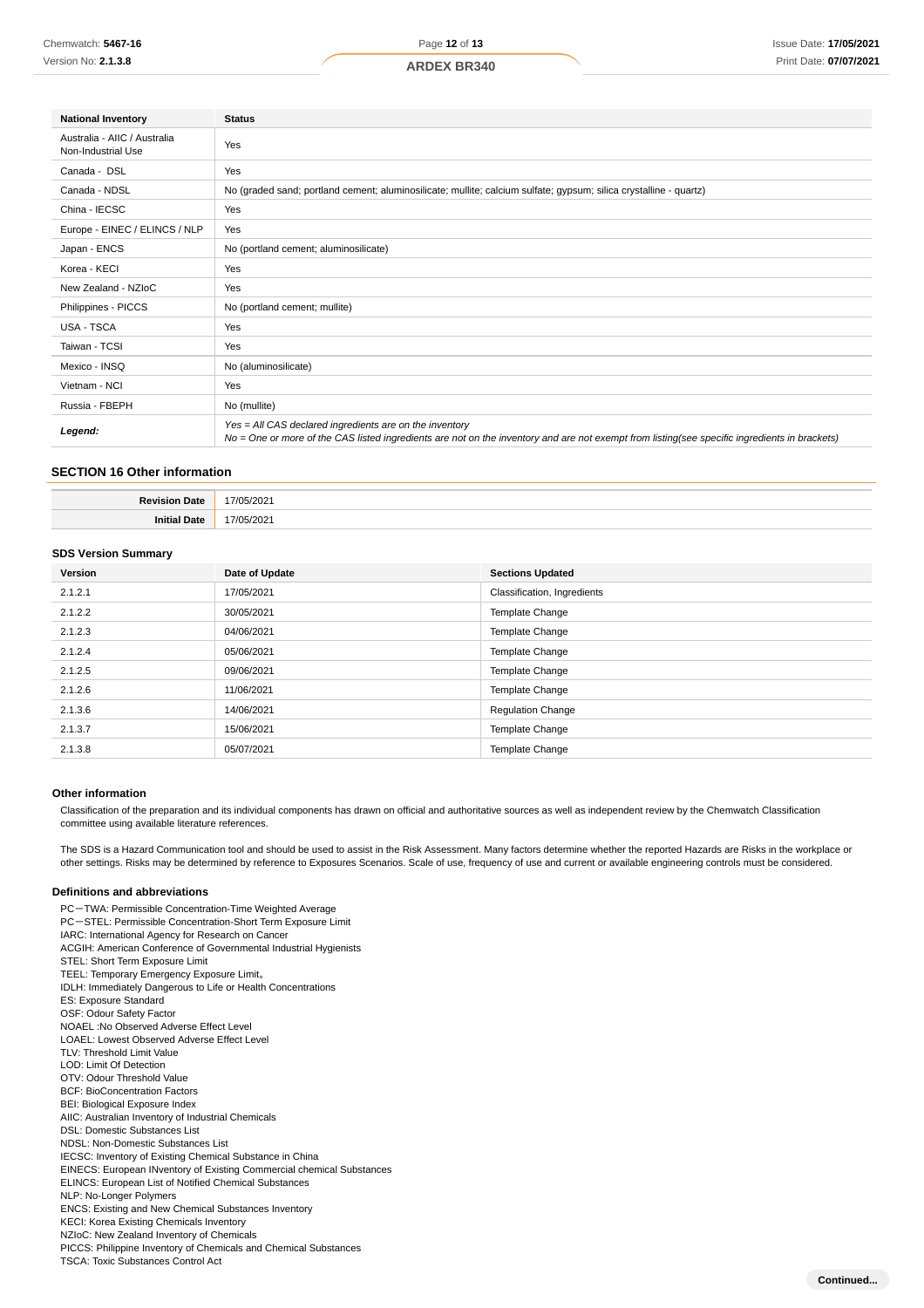| <b>National Inventory</b>                          | <b>Status</b>                                                                                                                                                                                            |  |
|----------------------------------------------------|----------------------------------------------------------------------------------------------------------------------------------------------------------------------------------------------------------|--|
| Australia - AIIC / Australia<br>Non-Industrial Use | Yes                                                                                                                                                                                                      |  |
| Canada - DSL                                       | Yes                                                                                                                                                                                                      |  |
| Canada - NDSL                                      | No (graded sand; portland cement; aluminosilicate; mullite; calcium sulfate; gypsum; silica crystalline - quartz)                                                                                        |  |
| China - IECSC                                      | Yes                                                                                                                                                                                                      |  |
| Europe - EINEC / ELINCS / NLP                      | Yes                                                                                                                                                                                                      |  |
| Japan - ENCS                                       | No (portland cement; aluminosilicate)                                                                                                                                                                    |  |
| Korea - KECI                                       | Yes                                                                                                                                                                                                      |  |
| New Zealand - NZIoC                                | Yes                                                                                                                                                                                                      |  |
| Philippines - PICCS                                | No (portland cement; mullite)                                                                                                                                                                            |  |
| <b>USA - TSCA</b>                                  | Yes                                                                                                                                                                                                      |  |
| Taiwan - TCSI                                      | Yes                                                                                                                                                                                                      |  |
| Mexico - INSQ                                      | No (aluminosilicate)                                                                                                                                                                                     |  |
| Vietnam - NCI                                      | Yes                                                                                                                                                                                                      |  |
| Russia - FBEPH                                     | No (mullite)                                                                                                                                                                                             |  |
| Legend:                                            | Yes = All CAS declared ingredients are on the inventory<br>No = One or more of the CAS listed ingredients are not on the inventory and are not exempt from listing(see specific ingredients in brackets) |  |

# **SECTION 16 Other information**

| n.<br>¬ate<br> | $\sim$<br>,,,<br>.<br>. |
|----------------|-------------------------|
| Jate<br>Init   | $\sim$<br>-<br>.        |

## **SDS Version Summary**

| Version | Date of Update | <b>Sections Updated</b>     |
|---------|----------------|-----------------------------|
| 2.1.2.1 | 17/05/2021     | Classification, Ingredients |
| 2.1.2.2 | 30/05/2021     | Template Change             |
| 2.1.2.3 | 04/06/2021     | Template Change             |
| 2.1.2.4 | 05/06/2021     | Template Change             |
| 2.1.2.5 | 09/06/2021     | Template Change             |
| 2.1.2.6 | 11/06/2021     | Template Change             |
| 2.1.3.6 | 14/06/2021     | <b>Regulation Change</b>    |
| 2.1.3.7 | 15/06/2021     | Template Change             |
| 2.1.3.8 | 05/07/2021     | <b>Template Change</b>      |

### **Other information**

Classification of the preparation and its individual components has drawn on official and authoritative sources as well as independent review by the Chemwatch Classification committee using available literature references.

The SDS is a Hazard Communication tool and should be used to assist in the Risk Assessment. Many factors determine whether the reported Hazards are Risks in the workplace or other settings. Risks may be determined by reference to Exposures Scenarios. Scale of use, frequency of use and current or available engineering controls must be considered.

#### **Definitions and abbreviations**

PC-TWA: Permissible Concentration-Time Weighted Average PC-STEL: Permissible Concentration-Short Term Exposure Limit IARC: International Agency for Research on Cancer ACGIH: American Conference of Governmental Industrial Hygienists STEL: Short Term Exposure Limit TEEL: Temporary Emergency Exposure Limit。 IDLH: Immediately Dangerous to Life or Health Concentrations ES: Exposure Standard OSF: Odour Safety Factor NOAEL :No Observed Adverse Effect Level LOAEL: Lowest Observed Adverse Effect Level TLV: Threshold Limit Value LOD: Limit Of Detection OTV: Odour Threshold Value BCF: BioConcentration Factors BEI: Biological Exposure Index AIIC: Australian Inventory of Industrial Chemicals DSL: Domestic Substances List NDSL: Non-Domestic Substances List IECSC: Inventory of Existing Chemical Substance in China EINECS: European INventory of Existing Commercial chemical Substances ELINCS: European List of Notified Chemical Substances NLP: No-Longer Polymers ENCS: Existing and New Chemical Substances Inventory KECI: Korea Existing Chemicals Inventory NZIoC: New Zealand Inventory of Chemicals PICCS: Philippine Inventory of Chemicals and Chemical Substances TSCA: Toxic Substances Control Act